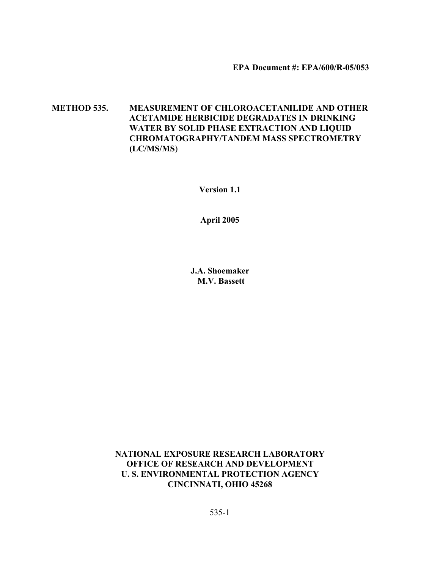**EPA Document #: EPA/600/R-05/053**

**METHOD 535. MEASUREMENT OF CHLOROACETANILIDE AND OTHER ACETAMIDE HERBICIDE DEGRADATES IN DRINKING WATER BY SOLID PHASE EXTRACTION AND LIQUID CHROMATOGRAPHY/TANDEM MASS SPECTROMETRY (LC/MS/MS**)

**Version 1.1**

**April 2005**

**J.A. Shoemaker M.V. Bassett**

**NATIONAL EXPOSURE RESEARCH LABORATORY OFFICE OF RESEARCH AND DEVELOPMENT U. S. ENVIRONMENTAL PROTECTION AGENCY CINCINNATI, OHIO 45268**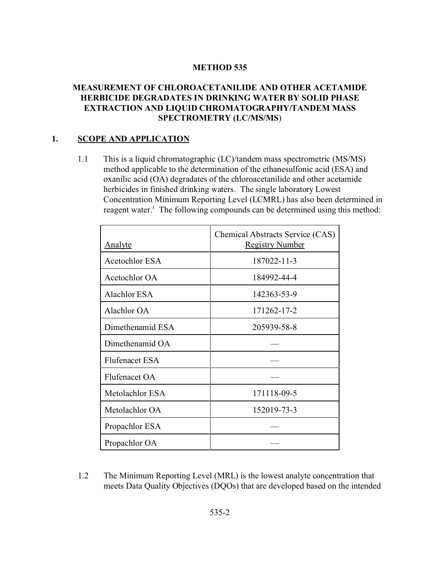#### **METHOD 535**

### **MEASUREMENT OF CHLOROACETANILIDE AND OTHER ACETAMIDE HERBICIDE DEGRADATES IN DRINKING WATER BY SOLID PHASE EXTRACTION AND LIQUID CHROMATOGRAPHY/TANDEM MASS SPECTROMETRY (LC/MS/MS**)

#### **1. SCOPE AND APPLICATION**

1.1 This is a liquid chromatographic (LC)/tandem mass spectrometric (MS/MS) method applicable to the determination of the ethanesulfonic acid (ESA) and oxanilic acid (OA) degradates of the chloroacetanilide and other acetamide herbicides in finished drinking waters. The single laboratory Lowest Concentration Minimum Reporting Level (LCMRL) has also been determined in reagent water.<sup>1</sup> The following compounds can be determined using this method:

| <b>Analyte</b>        | Chemical Abstracts Service (CAS)<br><b>Registry Number</b> |
|-----------------------|------------------------------------------------------------|
| <b>Acetochlor ESA</b> | 187022-11-3                                                |
| Acetochlor OA         | 184992-44-4                                                |
| Alachlor ESA          | 142363-53-9                                                |
| Alachlor OA           | 171262-17-2                                                |
| Dimethenamid ESA      | 205939-58-8                                                |
| Dimethenamid OA       |                                                            |
| <b>Flufenacet ESA</b> |                                                            |
| Flufenacet OA         |                                                            |
| Metolachlor ESA       | 171118-09-5                                                |
| Metolachlor OA        | 152019-73-3                                                |
| Propachlor ESA        |                                                            |
| Propachlor OA         |                                                            |

1.2 The Minimum Reporting Level (MRL) is the lowest analyte concentration that meets Data Quality Objectives (DQOs) that are developed based on the intended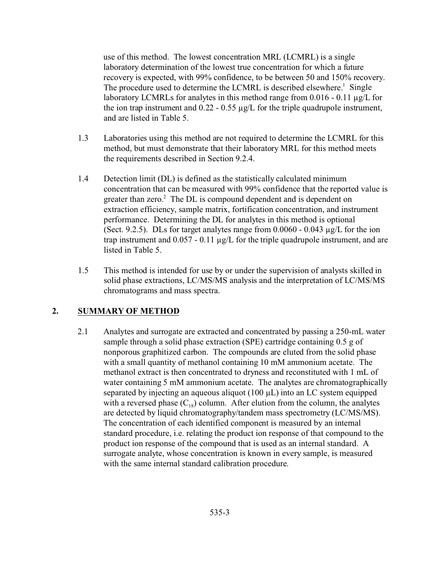use of this method. The lowest concentration MRL (LCMRL) is a single laboratory determination of the lowest true concentration for which a future recovery is expected, with 99% confidence, to be between 50 and 150% recovery. The procedure used to determine the LCMRL is described elsewhere.<sup>1</sup> Single laboratory LCMRLs for analytes in this method range from 0.016 - 0.11 µg/L for the ion trap instrument and  $0.22 - 0.55 \mu g/L$  for the triple quadrupole instrument, and are listed in Table 5.

- 1.3 Laboratories using this method are not required to determine the LCMRL for this method, but must demonstrate that their laboratory MRL for this method meets the requirements described in Section 9.2.4.
- 1.4 Detection limit (DL) is defined as the statistically calculated minimum concentration that can be measured with 99% confidence that the reported value is greater than zero.<sup>2</sup> The DL is compound dependent and is dependent on extraction efficiency, sample matrix, fortification concentration, and instrument performance. Determining the DL for analytes in this method is optional (Sect. 9.2.5). DLs for target analytes range from  $0.0060 - 0.043 \mu g/L$  for the ion trap instrument and 0.057 - 0.11 µg/L for the triple quadrupole instrument, and are listed in Table 5.
- 1.5 This method is intended for use by or under the supervision of analysts skilled in solid phase extractions, LC/MS/MS analysis and the interpretation of LC/MS/MS chromatograms and mass spectra.

#### **2. SUMMARY OF METHOD**

2.1 Analytes and surrogate are extracted and concentrated by passing a 250-mL water sample through a solid phase extraction (SPE) cartridge containing 0.5 g of nonporous graphitized carbon. The compounds are eluted from the solid phase with a small quantity of methanol containing 10 mM ammonium acetate. The methanol extract is then concentrated to dryness and reconstituted with 1 mL of water containing 5 mM ammonium acetate. The analytes are chromatographically separated by injecting an aqueous aliquot (100  $\mu$ L) into an LC system equipped with a reversed phase  $(C_{18})$  column. After elution from the column, the analytes are detected by liquid chromatography/tandem mass spectrometry (LC/MS/MS). The concentration of each identified component is measured by an internal standard procedure, i.e. relating the product ion response of that compound to the product ion response of the compound that is used as an internal standard. A surrogate analyte, whose concentration is known in every sample, is measured with the same internal standard calibration procedure.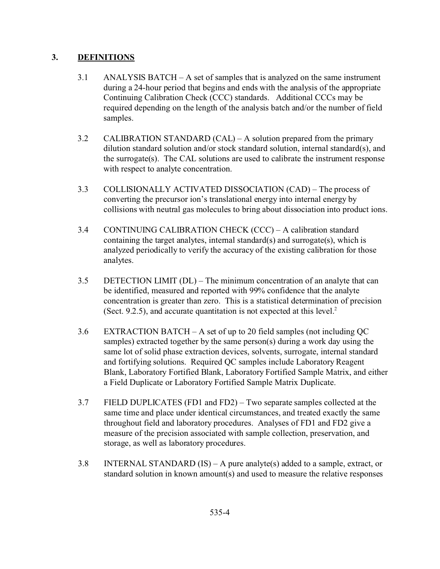# **3. DEFINITIONS**

- 3.1 ANALYSIS BATCH A set of samples that is analyzed on the same instrument during a 24-hour period that begins and ends with the analysis of the appropriate Continuing Calibration Check (CCC) standards. Additional CCCs may be required depending on the length of the analysis batch and/or the number of field samples.
- 3.2 CALIBRATION STANDARD (CAL) A solution prepared from the primary dilution standard solution and/or stock standard solution, internal standard(s), and the surrogate(s). The CAL solutions are used to calibrate the instrument response with respect to analyte concentration.
- 3.3 COLLISIONALLY ACTIVATED DISSOCIATION (CAD) The process of converting the precursor ion's translational energy into internal energy by collisions with neutral gas molecules to bring about dissociation into product ions.
- 3.4 CONTINUING CALIBRATION CHECK (CCC) A calibration standard containing the target analytes, internal standard(s) and surrogate(s), which is analyzed periodically to verify the accuracy of the existing calibration for those analytes.
- 3.5 DETECTION LIMIT (DL) The minimum concentration of an analyte that can be identified, measured and reported with 99% confidence that the analyte concentration is greater than zero. This is a statistical determination of precision (Sect. 9.2.5), and accurate quantitation is not expected at this level.<sup>2</sup>
- 3.6 EXTRACTION BATCH A set of up to 20 field samples (not including QC samples) extracted together by the same person(s) during a work day using the same lot of solid phase extraction devices, solvents, surrogate, internal standard and fortifying solutions. Required QC samples include Laboratory Reagent Blank, Laboratory Fortified Blank, Laboratory Fortified Sample Matrix, and either a Field Duplicate or Laboratory Fortified Sample Matrix Duplicate.
- 3.7 FIELD DUPLICATES (FD1 and FD2) Two separate samples collected at the same time and place under identical circumstances, and treated exactly the same throughout field and laboratory procedures. Analyses of FD1 and FD2 give a measure of the precision associated with sample collection, preservation, and storage, as well as laboratory procedures.
- 3.8 INTERNAL STANDARD  $(IS) A$  pure analyte(s) added to a sample, extract, or standard solution in known amount(s) and used to measure the relative responses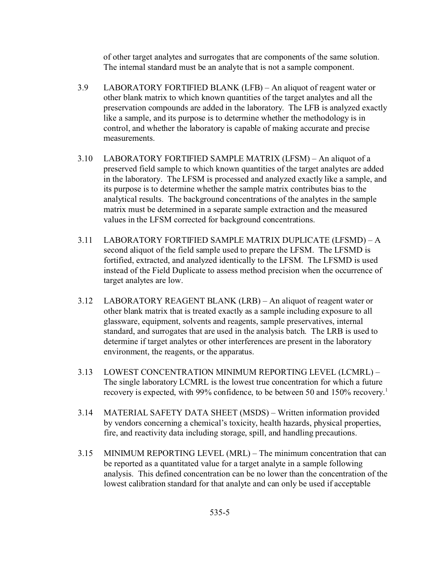of other target analytes and surrogates that are components of the same solution. The internal standard must be an analyte that is not a sample component.

- 3.9 LABORATORY FORTIFIED BLANK (LFB) An aliquot of reagent water or other blank matrix to which known quantities of the target analytes and all the preservation compounds are added in the laboratory. The LFB is analyzed exactly like a sample, and its purpose is to determine whether the methodology is in control, and whether the laboratory is capable of making accurate and precise measurements.
- 3.10 LABORATORY FORTIFIED SAMPLE MATRIX (LFSM) An aliquot of a preserved field sample to which known quantities of the target analytes are added in the laboratory. The LFSM is processed and analyzed exactly like a sample, and its purpose is to determine whether the sample matrix contributes bias to the analytical results. The background concentrations of the analytes in the sample matrix must be determined in a separate sample extraction and the measured values in the LFSM corrected for background concentrations.
- 3.11 LABORATORY FORTIFIED SAMPLE MATRIX DUPLICATE (LFSMD) A second aliquot of the field sample used to prepare the LFSM. The LFSMD is fortified, extracted, and analyzed identically to the LFSM. The LFSMD is used instead of the Field Duplicate to assess method precision when the occurrence of target analytes are low.
- 3.12 LABORATORY REAGENT BLANK (LRB) An aliquot of reagent water or other blank matrix that is treated exactly as a sample including exposure to all glassware, equipment, solvents and reagents, sample preservatives, internal standard, and surrogates that are used in the analysis batch. The LRB is used to determine if target analytes or other interferences are present in the laboratory environment, the reagents, or the apparatus.
- 3.13 LOWEST CONCENTRATION MINIMUM REPORTING LEVEL (LCMRL) The single laboratory LCMRL is the lowest true concentration for which a future recovery is expected, with 99% confidence, to be between 50 and 150% recovery.<sup>1</sup>
- 3.14 MATERIAL SAFETY DATA SHEET (MSDS) Written information provided by vendors concerning a chemical's toxicity, health hazards, physical properties, fire, and reactivity data including storage, spill, and handling precautions.
- 3.15 MINIMUM REPORTING LEVEL (MRL) The minimum concentration that can be reported as a quantitated value for a target analyte in a sample following analysis. This defined concentration can be no lower than the concentration of the lowest calibration standard for that analyte and can only be used if acceptable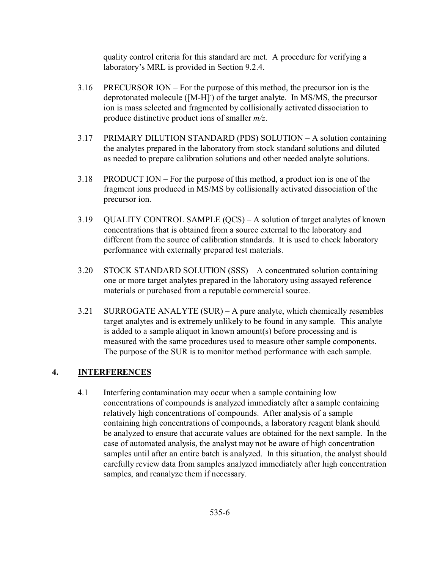quality control criteria for this standard are met. A procedure for verifying a laboratory's MRL is provided in Section 9.2.4.

- 3.16 PRECURSOR ION For the purpose of this method, the precursor ion is the deprotonated molecule ([M-H] of the target analyte. In MS/MS, the precursor ion is mass selected and fragmented by collisionally activated dissociation to produce distinctive product ions of smaller *m/z*.
- 3.17 PRIMARY DILUTION STANDARD (PDS) SOLUTION A solution containing the analytes prepared in the laboratory from stock standard solutions and diluted as needed to prepare calibration solutions and other needed analyte solutions.
- 3.18 PRODUCT ION For the purpose of this method, a product ion is one of the fragment ions produced in MS/MS by collisionally activated dissociation of the precursor ion.
- 3.19 QUALITY CONTROL SAMPLE (QCS) A solution of target analytes of known concentrations that is obtained from a source external to the laboratory and different from the source of calibration standards. It is used to check laboratory performance with externally prepared test materials.
- 3.20 STOCK STANDARD SOLUTION (SSS) A concentrated solution containing one or more target analytes prepared in the laboratory using assayed reference materials or purchased from a reputable commercial source.
- 3.21 SURROGATE ANALYTE (SUR) A pure analyte, which chemically resembles target analytes and is extremely unlikely to be found in any sample. This analyte is added to a sample aliquot in known amount(s) before processing and is measured with the same procedures used to measure other sample components. The purpose of the SUR is to monitor method performance with each sample.

# **4. INTERFERENCES**

4.1 Interfering contamination may occur when a sample containing low concentrations of compounds is analyzed immediately after a sample containing relatively high concentrations of compounds. After analysis of a sample containing high concentrations of compounds, a laboratory reagent blank should be analyzed to ensure that accurate values are obtained for the next sample. In the case of automated analysis, the analyst may not be aware of high concentration samples until after an entire batch is analyzed. In this situation, the analyst should carefully review data from samples analyzed immediately after high concentration samples, and reanalyze them if necessary.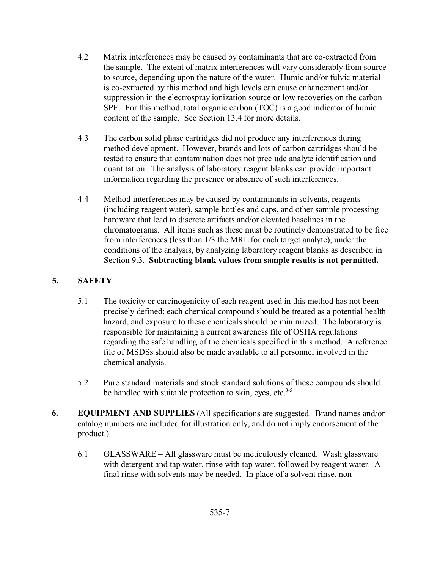- 4.2 Matrix interferences may be caused by contaminants that are co-extracted from the sample. The extent of matrix interferences will vary considerably from source to source, depending upon the nature of the water. Humic and/or fulvic material is co-extracted by this method and high levels can cause enhancement and/or suppression in the electrospray ionization source or low recoveries on the carbon SPE. For this method, total organic carbon (TOC) is a good indicator of humic content of the sample. See Section 13.4 for more details.
- 4.3 The carbon solid phase cartridges did not produce any interferences during method development. However, brands and lots of carbon cartridges should be tested to ensure that contamination does not preclude analyte identification and quantitation. The analysis of laboratory reagent blanks can provide important information regarding the presence or absence of such interferences.
- 4.4 Method interferences may be caused by contaminants in solvents, reagents (including reagent water), sample bottles and caps, and other sample processing hardware that lead to discrete artifacts and/or elevated baselines in the chromatograms. All items such as these must be routinely demonstrated to be free from interferences (less than 1/3 the MRL for each target analyte), under the conditions of the analysis, by analyzing laboratory reagent blanks as described in Section 9.3. **Subtracting blank values from sample results is not permitted.**

# **5. SAFETY**

- 5.1 The toxicity or carcinogenicity of each reagent used in this method has not been precisely defined; each chemical compound should be treated as a potential health hazard, and exposure to these chemicals should be minimized. The laboratory is responsible for maintaining a current awareness file of OSHA regulations regarding the safe handling of the chemicals specified in this method. A reference file of MSDSs should also be made available to all personnel involved in the chemical analysis.
- 5.2 Pure standard materials and stock standard solutions of these compounds should be handled with suitable protection to skin, eyes, etc. $3-5$
- **6. EQUIPMENT AND SUPPLIES** (All specifications are suggested. Brand names and/or catalog numbers are included for illustration only, and do not imply endorsement of the product.)
	- 6.1 GLASSWARE All glassware must be meticulously cleaned. Wash glassware with detergent and tap water, rinse with tap water, followed by reagent water. A final rinse with solvents may be needed. In place of a solvent rinse, non-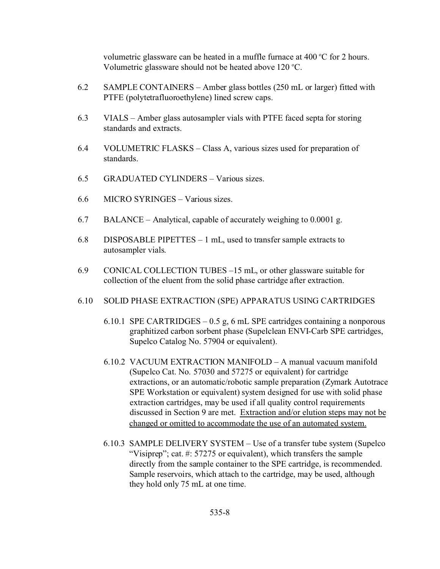volumetric glassware can be heated in a muffle furnace at  $400^{\circ}$ C for 2 hours. Volumetric glassware should not be heated above  $120^{\circ}$ C.

- 6.2 SAMPLE CONTAINERS Amber glass bottles (250 mL or larger) fitted with PTFE (polytetrafluoroethylene) lined screw caps.
- 6.3 VIALS Amber glass autosampler vials with PTFE faced septa for storing standards and extracts.
- 6.4 VOLUMETRIC FLASKS Class A, various sizes used for preparation of standards.
- 6.5 GRADUATED CYLINDERS Various sizes.
- 6.6 MICRO SYRINGES Various sizes.
- 6.7 BALANCE Analytical, capable of accurately weighing to 0.0001 g.
- 6.8 DISPOSABLE PIPETTES 1 mL, used to transfer sample extracts to autosampler vials.
- 6.9 CONICAL COLLECTION TUBES –15 mL, or other glassware suitable for collection of the eluent from the solid phase cartridge after extraction.
- 6.10 SOLID PHASE EXTRACTION (SPE) APPARATUS USING CARTRIDGES
	- 6.10.1 SPE CARTRIDGES 0.5 g, 6 mL SPE cartridges containing a nonporous graphitized carbon sorbent phase (Supelclean ENVI-Carb SPE cartridges, Supelco Catalog No. 57904 or equivalent).
	- 6.10.2 VACUUM EXTRACTION MANIFOLD A manual vacuum manifold (Supelco Cat. No. 57030 and 57275 or equivalent) for cartridge extractions, or an automatic/robotic sample preparation (Zymark Autotrace SPE Workstation or equivalent) system designed for use with solid phase extraction cartridges, may be used if all quality control requirements discussed in Section 9 are met. Extraction and/or elution steps may not be changed or omitted to accommodate the use of an automated system.
	- 6.10.3 SAMPLE DELIVERY SYSTEM Use of a transfer tube system (Supelco "Visiprep"; cat. #: 57275 or equivalent), which transfers the sample directly from the sample container to the SPE cartridge, is recommended. Sample reservoirs, which attach to the cartridge, may be used, although they hold only 75 mL at one time.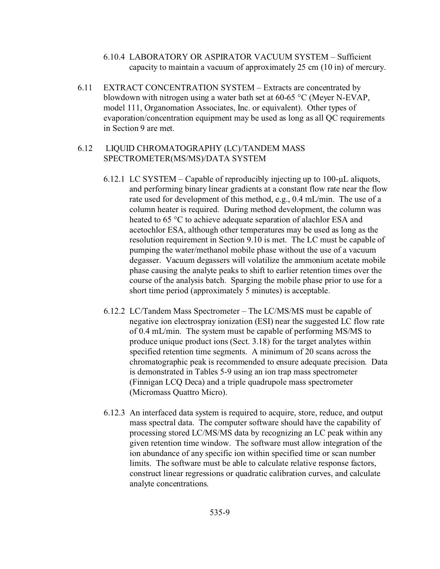- 6.10.4 LABORATORY OR ASPIRATOR VACUUM SYSTEM Sufficient capacity to maintain a vacuum of approximately 25 cm (10 in) of mercury.
- 6.11 EXTRACT CONCENTRATION SYSTEM Extracts are concentrated by blowdown with nitrogen using a water bath set at 60-65 °C (Meyer N-EVAP, model 111, Organomation Associates, Inc. or equivalent). Other types of evaporation/concentration equipment may be used as long as all QC requirements in Section 9 are met.

#### 6.12 LIQUID CHROMATOGRAPHY (LC)/TANDEM MASS SPECTROMETER(MS/MS)/DATA SYSTEM

- 6.12.1 LC SYSTEM Capable of reproducibly injecting up to  $100$ - $\mu$ L aliquots, and performing binary linear gradients at a constant flow rate near the flow rate used for development of this method, e.g., 0.4 mL/min. The use of a column heater is required. During method development, the column was heated to 65 °C to achieve adequate separation of alachlor ESA and acetochlor ESA, although other temperatures may be used as long as the resolution requirement in Section 9.10 is met. The LC must be capable of pumping the water/methanol mobile phase without the use of a vacuum degasser. Vacuum degassers will volatilize the ammonium acetate mobile phase causing the analyte peaks to shift to earlier retention times over the course of the analysis batch. Sparging the mobile phase prior to use for a short time period (approximately 5 minutes) is acceptable.
- 6.12.2 LC/Tandem Mass Spectrometer The LC/MS/MS must be capable of negative ion electrospray ionization (ESI) near the suggested LC flow rate of 0.4 mL/min. The system must be capable of performing MS/MS to produce unique product ions (Sect. 3.18) for the target analytes within specified retention time segments. A minimum of 20 scans across the chromatographic peak is recommended to ensure adequate precision. Data is demonstrated in Tables 5-9 using an ion trap mass spectrometer (Finnigan LCQ Deca) and a triple quadrupole mass spectrometer (Micromass Quattro Micro).
- 6.12.3 An interfaced data system is required to acquire, store, reduce, and output mass spectral data. The computer software should have the capability of processing stored LC/MS/MS data by recognizing an LC peak within any given retention time window. The software must allow integration of the ion abundance of any specific ion within specified time or scan number limits. The software must be able to calculate relative response factors, construct linear regressions or quadratic calibration curves, and calculate analyte concentrations.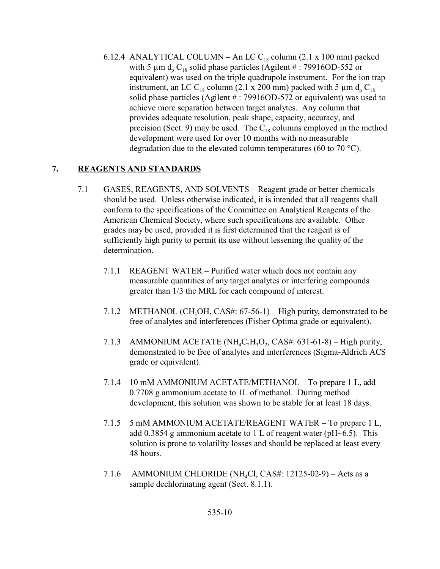6.12.4 ANALYTICAL COLUMN – An LC  $C_{18}$  column (2.1 x 100 mm) packed with 5  $\mu$ m d<sub>p</sub> C<sub>18</sub> solid phase particles (Agilent # : 79916OD-552 or equivalent) was used on the triple quadrupole instrument. For the ion trap instrument, an LC C<sub>18</sub> column (2.1 x 200 mm) packed with 5  $\mu$ m d<sub>p</sub> C<sub>18</sub> solid phase particles (Agilent # : 79916OD-572 or equivalent) was used to achieve more separation between target analytes. Any column that provides adequate resolution, peak shape, capacity, accuracy, and precision (Sect. 9) may be used. The  $C_{18}$  columns employed in the method development were used for over 10 months with no measurable degradation due to the elevated column temperatures (60 to 70 °C).

# **7. REAGENTS AND STANDARDS**

- 7.1 GASES, REAGENTS, AND SOLVENTS Reagent grade or better chemicals should be used. Unless otherwise indicated, it is intended that all reagents shall conform to the specifications of the Committee on Analytical Reagents of the American Chemical Society, where such specifications are available. Other grades may be used, provided it is first determined that the reagent is of sufficiently high purity to permit its use without lessening the quality of the determination.
	- 7.1.1 REAGENT WATER Purified water which does not contain any measurable quantities of any target analytes or interfering compounds greater than 1/3 the MRL for each compound of interest.
	- 7.1.2 METHANOL (CH<sub>3</sub>OH, CAS#: 67-56-1) High purity, demonstrated to be free of analytes and interferences (Fisher Optima grade or equivalent).
	- 7.1.3 AMMONIUM ACETATE (NH<sub>4</sub>C<sub>2</sub>H<sub>3</sub>O<sub>2</sub>, CAS#: 631-61-8) High purity, demonstrated to be free of analytes and interferences (Sigma-Aldrich ACS grade or equivalent).
	- 7.1.4 10 mM AMMONIUM ACETATE/METHANOL To prepare 1 L, add 0.7708 g ammonium acetate to 1L of methanol. During method development, this solution was shown to be stable for at least 18 days.
	- 7.1.5 5 mM AMMONIUM ACETATE/REAGENT WATER To prepare 1 L, add 0.3854 g ammonium acetate to 1 L of reagent water ( $pH \sim 6.5$ ). This solution is prone to volatility losses and should be replaced at least every 48 hours.
	- 7.1.6 AMMONIUM CHLORIDE (NH<sub>4</sub>Cl, CAS#: 12125-02-9) Acts as a sample dechlorinating agent (Sect. 8.1.1).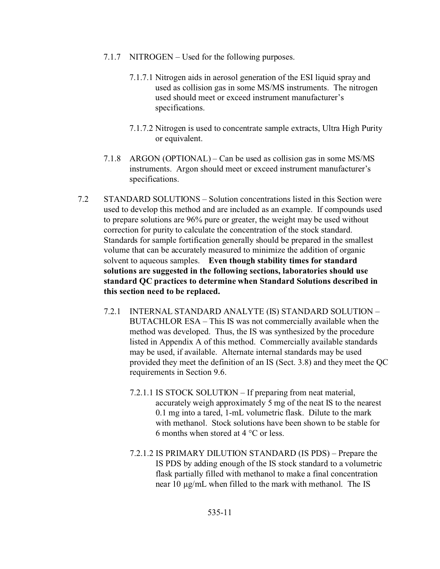- 7.1.7 NITROGEN Used for the following purposes.
	- 7.1.7.1 Nitrogen aids in aerosol generation of the ESI liquid spray and used as collision gas in some MS/MS instruments. The nitrogen used should meet or exceed instrument manufacturer's specifications.
	- 7.1.7.2 Nitrogen is used to concentrate sample extracts, Ultra High Purity or equivalent.
- 7.1.8 ARGON (OPTIONAL) Can be used as collision gas in some MS/MS instruments. Argon should meet or exceed instrument manufacturer's specifications.
- 7.2 STANDARD SOLUTIONS Solution concentrations listed in this Section were used to develop this method and are included as an example. If compounds used to prepare solutions are 96% pure or greater, the weight may be used without correction for purity to calculate the concentration of the stock standard. Standards for sample fortification generally should be prepared in the smallest volume that can be accurately measured to minimize the addition of organic solvent to aqueous samples. **Even though stability times for standard solutions are suggested in the following sections, laboratories should use standard QC practices to determine when Standard Solutions described in this section need to be replaced.**
	- 7.2.1 INTERNAL STANDARD ANALYTE (IS) STANDARD SOLUTION BUTACHLOR ESA – This IS was not commercially available when the method was developed. Thus, the IS was synthesized by the procedure listed in Appendix A of this method. Commercially available standards may be used, if available. Alternate internal standards may be used provided they meet the definition of an IS (Sect. 3.8) and they meet the QC requirements in Section 9.6.
		- 7.2.1.1 IS STOCK SOLUTION If preparing from neat material, accurately weigh approximately 5 mg of the neat IS to the nearest 0.1 mg into a tared, 1-mL volumetric flask. Dilute to the mark with methanol. Stock solutions have been shown to be stable for 6 months when stored at 4 °C or less.
		- 7.2.1.2 IS PRIMARY DILUTION STANDARD (IS PDS) Prepare the IS PDS by adding enough of the IS stock standard to a volumetric flask partially filled with methanol to make a final concentration near 10 µg/mL when filled to the mark with methanol. The IS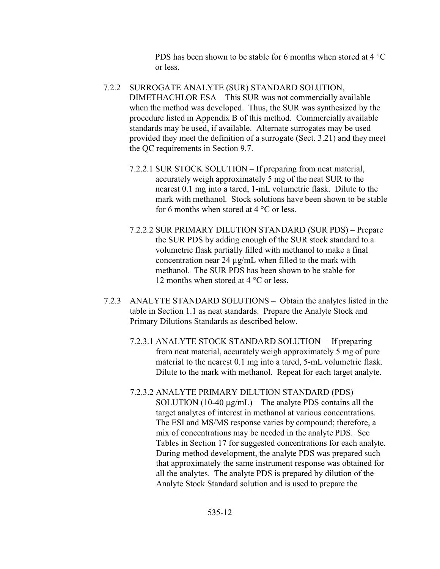PDS has been shown to be stable for 6 months when stored at 4 °C or less.

- 7.2.2 SURROGATE ANALYTE (SUR) STANDARD SOLUTION, DIMETHACHLOR ESA – This SUR was not commercially available when the method was developed. Thus, the SUR was synthesized by the procedure listed in Appendix B of this method. Commercially available standards may be used, if available. Alternate surrogates may be used provided they meet the definition of a surrogate (Sect. 3.21) and they meet the QC requirements in Section 9.7.
	- 7.2.2.1 SUR STOCK SOLUTION If preparing from neat material, accurately weigh approximately 5 mg of the neat SUR to the nearest 0.1 mg into a tared, 1-mL volumetric flask. Dilute to the mark with methanol. Stock solutions have been shown to be stable for 6 months when stored at  $4^{\circ}$ C or less.
	- 7.2.2.2 SUR PRIMARY DILUTION STANDARD (SUR PDS) Prepare the SUR PDS by adding enough of the SUR stock standard to a volumetric flask partially filled with methanol to make a final concentration near 24  $\mu$ g/mL when filled to the mark with methanol. The SUR PDS has been shown to be stable for 12 months when stored at 4 °C or less.
- 7.2.3 ANALYTE STANDARD SOLUTIONS Obtain the analytes listed in the table in Section 1.1 as neat standards. Prepare the Analyte Stock and Primary Dilutions Standards as described below.
	- 7.2.3.1 ANALYTE STOCK STANDARD SOLUTION If preparing from neat material, accurately weigh approximately 5 mg of pure material to the nearest 0.1 mg into a tared, 5-mL volumetric flask. Dilute to the mark with methanol. Repeat for each target analyte.
	- 7.2.3.2 ANALYTE PRIMARY DILUTION STANDARD (PDS) SOLUTION (10-40  $\mu$ g/mL) – The analyte PDS contains all the target analytes of interest in methanol at various concentrations. The ESI and MS/MS response varies by compound; therefore, a mix of concentrations may be needed in the analyte PDS. See Tables in Section 17 for suggested concentrations for each analyte. During method development, the analyte PDS was prepared such that approximately the same instrument response was obtained for all the analytes. The analyte PDS is prepared by dilution of the Analyte Stock Standard solution and is used to prepare the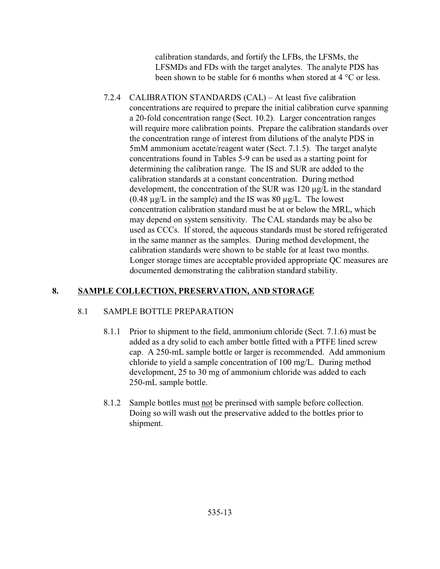calibration standards, and fortify the LFBs, the LFSMs, the LFSMDs and FDs with the target analytes. The analyte PDS has been shown to be stable for 6 months when stored at 4 °C or less.

7.2.4 CALIBRATION STANDARDS (CAL) – At least five calibration concentrations are required to prepare the initial calibration curve spanning a 20-fold concentration range (Sect. 10.2). Larger concentration ranges will require more calibration points. Prepare the calibration standards over the concentration range of interest from dilutions of the analyte PDS in 5mM ammonium acetate/reagent water (Sect. 7.1.5). The target analyte concentrations found in Tables 5-9 can be used as a starting point for determining the calibration range. The IS and SUR are added to the calibration standards at a constant concentration. During method development, the concentration of the SUR was 120 µg/L in the standard  $(0.48 \mu g/L)$  in the sample) and the IS was 80  $\mu g/L$ . The lowest concentration calibration standard must be at or below the MRL, which may depend on system sensitivity. The CAL standards may be also be used as CCCs. If stored, the aqueous standards must be stored refrigerated in the same manner as the samples. During method development, the calibration standards were shown to be stable for at least two months. Longer storage times are acceptable provided appropriate QC measures are documented demonstrating the calibration standard stability.

# **8. SAMPLE COLLECTION, PRESERVATION, AND STORAGE**

# 8.1 SAMPLE BOTTLE PREPARATION

- 8.1.1 Prior to shipment to the field, ammonium chloride (Sect. 7.1.6) must be added as a dry solid to each amber bottle fitted with a PTFE lined screw cap. A 250-mL sample bottle or larger is recommended. Add ammonium chloride to yield a sample concentration of 100 mg/L. During method development, 25 to 30 mg of ammonium chloride was added to each 250-mL sample bottle.
- 8.1.2 Sample bottles must not be prerinsed with sample before collection. Doing so will wash out the preservative added to the bottles prior to shipment.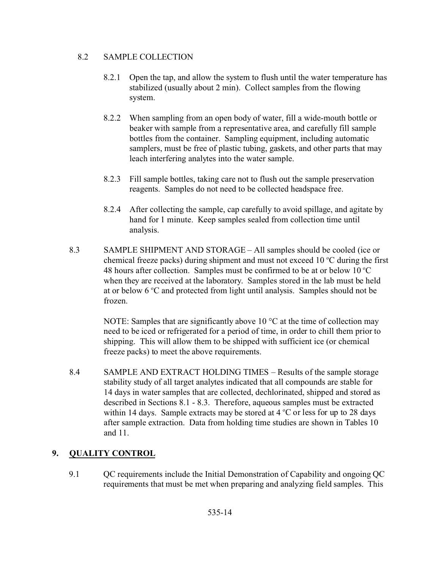### 8.2 SAMPLE COLLECTION

- 8.2.1 Open the tap, and allow the system to flush until the water temperature has stabilized (usually about 2 min). Collect samples from the flowing system.
- 8.2.2 When sampling from an open body of water, fill a wide-mouth bottle or beaker with sample from a representative area, and carefully fill sample bottles from the container. Sampling equipment, including automatic samplers, must be free of plastic tubing, gaskets, and other parts that may leach interfering analytes into the water sample.
- 8.2.3 Fill sample bottles, taking care not to flush out the sample preservation reagents. Samples do not need to be collected headspace free.
- 8.2.4 After collecting the sample, cap carefully to avoid spillage, and agitate by hand for 1 minute. Keep samples sealed from collection time until analysis.
- 8.3 SAMPLE SHIPMENT AND STORAGE All samples should be cooled (ice or chemical freeze packs) during shipment and must not exceed 10  $\degree$ C during the first 48 hours after collection. Samples must be confirmed to be at or below 10  $^{\circ}$ C when they are received at the laboratory. Samples stored in the lab must be held at or below  $6^{\circ}$ C and protected from light until analysis. Samples should not be frozen.

NOTE: Samples that are significantly above 10  $^{\circ}$ C at the time of collection may need to be iced or refrigerated for a period of time, in order to chill them prior to shipping. This will allow them to be shipped with sufficient ice (or chemical freeze packs) to meet the above requirements.

8.4 SAMPLE AND EXTRACT HOLDING TIMES – Results of the sample storage stability study of all target analytes indicated that all compounds are stable for 14 days in water samples that are collected, dechlorinated, shipped and stored as described in Sections 8.1 - 8.3. Therefore, aqueous samples must be extracted within 14 days. Sample extracts may be stored at  $4^{\circ}$ C or less for up to 28 days after sample extraction. Data from holding time studies are shown in Tables 10 and 11.

# **9. QUALITY CONTROL**

9.1 QC requirements include the Initial Demonstration of Capability and ongoing QC requirements that must be met when preparing and analyzing field samples. This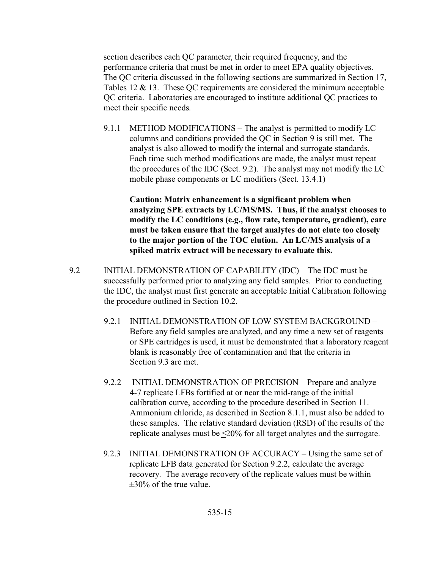section describes each QC parameter, their required frequency, and the performance criteria that must be met in order to meet EPA quality objectives. The QC criteria discussed in the following sections are summarized in Section 17, Tables 12 & 13. These QC requirements are considered the minimum acceptable QC criteria. Laboratories are encouraged to institute additional QC practices to meet their specific needs.

9.1.1 METHOD MODIFICATIONS – The analyst is permitted to modify LC columns and conditions provided the QC in Section 9 is still met. The analyst is also allowed to modify the internal and surrogate standards. Each time such method modifications are made, the analyst must repeat the procedures of the IDC (Sect. 9.2). The analyst may not modify the LC mobile phase components or LC modifiers (Sect. 13.4.1)

**Caution: Matrix enhancement is a significant problem when analyzing SPE extracts by LC/MS/MS. Thus, if the analyst chooses to modify the LC conditions (e.g., flow rate, temperature, gradient), care must be taken ensure that the target analytes do not elute too closely to the major portion of the TOC elution. An LC/MS analysis of a spiked matrix extract will be necessary to evaluate this.**

- 9.2 INITIAL DEMONSTRATION OF CAPABILITY (IDC) The IDC must be successfully performed prior to analyzing any field samples. Prior to conducting the IDC, the analyst must first generate an acceptable Initial Calibration following the procedure outlined in Section 10.2.
	- 9.2.1 INITIAL DEMONSTRATION OF LOW SYSTEM BACKGROUND Before any field samples are analyzed, and any time a new set of reagents or SPE cartridges is used, it must be demonstrated that a laboratory reagent blank is reasonably free of contamination and that the criteria in Section 9.3 are met.
	- 9.2.2 INITIAL DEMONSTRATION OF PRECISION Prepare and analyze 4-7 replicate LFBs fortified at or near the mid-range of the initial calibration curve, according to the procedure described in Section 11. Ammonium chloride, as described in Section 8.1.1, must also be added to these samples. The relative standard deviation (RSD) of the results of the replicate analyses must be <20% for all target analytes and the surrogate.
	- 9.2.3 INITIAL DEMONSTRATION OF ACCURACY Using the same set of replicate LFB data generated for Section 9.2.2, calculate the average recovery. The average recovery of the replicate values must be within  $\pm 30\%$  of the true value.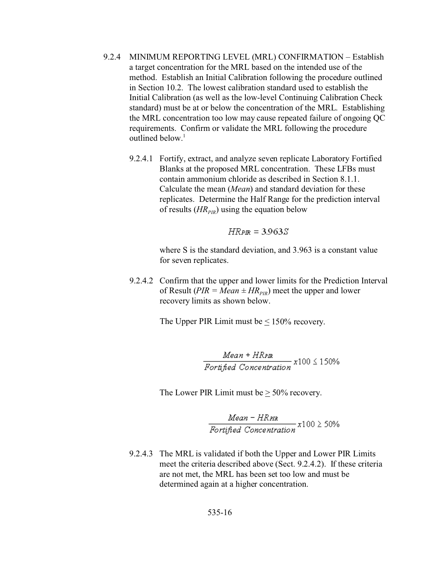- 9.2.4 MINIMUM REPORTING LEVEL (MRL) CONFIRMATION Establish a target concentration for the MRL based on the intended use of the method. Establish an Initial Calibration following the procedure outlined in Section 10.2. The lowest calibration standard used to establish the Initial Calibration (as well as the low-level Continuing Calibration Check standard) must be at or below the concentration of the MRL. Establishing the MRL concentration too low may cause repeated failure of ongoing QC requirements. Confirm or validate the MRL following the procedure outlined below.<sup>1</sup>
	- 9.2.4.1 Fortify, extract, and analyze seven replicate Laboratory Fortified Blanks at the proposed MRL concentration. These LFBs must contain ammonium chloride as described in Section 8.1.1. Calculate the mean (*Mean*) and standard deviation for these replicates. Determine the Half Range for the prediction interval of results (*HR*<sub>*PIR*</sub>) using the equation below

$$
HRPR = 3.963S
$$

where S is the standard deviation, and 3.963 is a constant value for seven replicates.

9.2.4.2 Confirm that the upper and lower limits for the Prediction Interval of Result ( $PIR = Mean \pm HR_{PIR}$ ) meet the upper and lower recovery limits as shown below.

The Upper PIR Limit must be  $\leq 150\%$  recovery.

 $\frac{Mean + HRPR}{Forified Concentration} \times 100 \le 150\%$ 

The Lower PIR Limit must be  $\geq 50\%$  recovery.

 $\frac{Mean - HR_{\text{PIR}}}{Forified\ Connection} x100 \geq 50\%$ 

9.2.4.3 The MRL is validated if both the Upper and Lower PIR Limits meet the criteria described above (Sect. 9.2.4.2). If these criteria are not met, the MRL has been set too low and must be determined again at a higher concentration.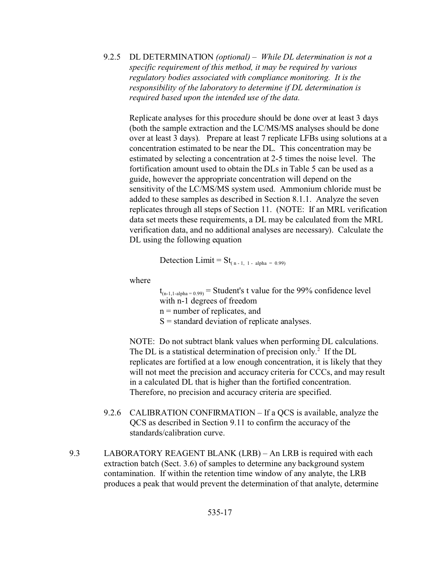9.2.5 DL DETERMINATION *(optional)* – *While DL determination is not a specific requirement of this method, it may be required by various regulatory bodies associated with compliance monitoring. It is the responsibility of the laboratory to determine if DL determination is required based upon the intended use of the data.* 

Replicate analyses for this procedure should be done over at least 3 days (both the sample extraction and the LC/MS/MS analyses should be done over at least 3 days). Prepare at least 7 replicate LFBs using solutions at a concentration estimated to be near the DL. This concentration may be estimated by selecting a concentration at 2-5 times the noise level. The fortification amount used to obtain the DLs in Table 5 can be used as a guide, however the appropriate concentration will depend on the sensitivity of the LC/MS/MS system used. Ammonium chloride must be added to these samples as described in Section 8.1.1. Analyze the seven replicates through all steps of Section 11. (NOTE: If an MRL verification data set meets these requirements, a DL may be calculated from the MRL verification data, and no additional analyses are necessary). Calculate the DL using the following equation

Detection Limit =  $St_{(n-1,-1,-alpha = 0.99)}$ 

where

 $t_{(n-1,1-alpha=0.99)}$  = Student's t value for the 99% confidence level with n-1 degrees of freedom  $n =$  number of replicates, and  $S =$  standard deviation of replicate analyses.

NOTE: Do not subtract blank values when performing DL calculations. The DL is a statistical determination of precision only.<sup>2</sup> If the DL replicates are fortified at a low enough concentration, it is likely that they will not meet the precision and accuracy criteria for CCCs, and may result in a calculated DL that is higher than the fortified concentration. Therefore, no precision and accuracy criteria are specified.

- 9.2.6 CALIBRATION CONFIRMATION If a QCS is available, analyze the QCS as described in Section 9.11 to confirm the accuracy of the standards/calibration curve.
- 9.3 LABORATORY REAGENT BLANK (LRB) An LRB is required with each extraction batch (Sect. 3.6) of samples to determine any background system contamination. If within the retention time window of any analyte, the LRB produces a peak that would prevent the determination of that analyte, determine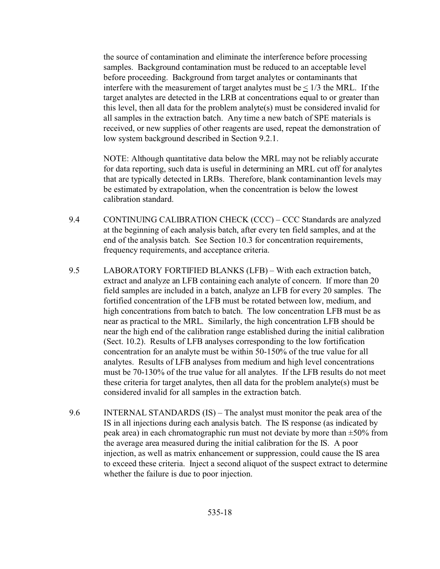the source of contamination and eliminate the interference before processing samples. Background contamination must be reduced to an acceptable level before proceeding. Background from target analytes or contaminants that interfere with the measurement of target analytes must be  $\leq 1/3$  the MRL. If the target analytes are detected in the LRB at concentrations equal to or greater than this level, then all data for the problem analyte(s) must be considered invalid for all samples in the extraction batch. Any time a new batch of SPE materials is received, or new supplies of other reagents are used, repeat the demonstration of low system background described in Section 9.2.1.

NOTE: Although quantitative data below the MRL may not be reliably accurate for data reporting, such data is useful in determining an MRL cut off for analytes that are typically detected in LRBs. Therefore, blank contaminantion levels may be estimated by extrapolation, when the concentration is below the lowest calibration standard.

- 9.4 CONTINUING CALIBRATION CHECK (CCC) CCC Standards are analyzed at the beginning of each analysis batch, after every ten field samples, and at the end of the analysis batch. See Section 10.3 for concentration requirements, frequency requirements, and acceptance criteria.
- 9.5 LABORATORY FORTIFIED BLANKS (LFB) With each extraction batch, extract and analyze an LFB containing each analyte of concern. If more than 20 field samples are included in a batch, analyze an LFB for every 20 samples. The fortified concentration of the LFB must be rotated between low, medium, and high concentrations from batch to batch. The low concentration LFB must be as near as practical to the MRL. Similarly, the high concentration LFB should be near the high end of the calibration range established during the initial calibration (Sect. 10.2). Results of LFB analyses corresponding to the low fortification concentration for an analyte must be within 50-150% of the true value for all analytes. Results of LFB analyses from medium and high level concentrations must be 70-130% of the true value for all analytes. If the LFB results do not meet these criteria for target analytes, then all data for the problem analyte(s) must be considered invalid for all samples in the extraction batch.
- 9.6 INTERNAL STANDARDS (IS) The analyst must monitor the peak area of the IS in all injections during each analysis batch. The IS response (as indicated by peak area) in each chromatographic run must not deviate by more than  $\pm 50\%$  from the average area measured during the initial calibration for the IS. A poor injection, as well as matrix enhancement or suppression, could cause the IS area to exceed these criteria. Inject a second aliquot of the suspect extract to determine whether the failure is due to poor injection.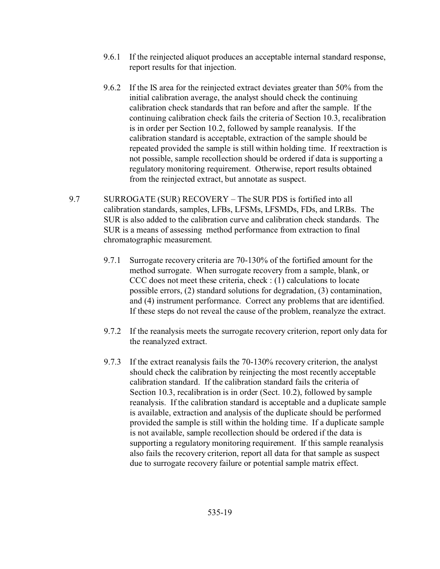- 9.6.1 If the reinjected aliquot produces an acceptable internal standard response, report results for that injection.
- 9.6.2 If the IS area for the reinjected extract deviates greater than 50% from the initial calibration average, the analyst should check the continuing calibration check standards that ran before and after the sample. If the continuing calibration check fails the criteria of Section 10.3, recalibration is in order per Section 10.2, followed by sample reanalysis. If the calibration standard is acceptable, extraction of the sample should be repeated provided the sample is still within holding time. If reextraction is not possible, sample recollection should be ordered if data is supporting a regulatory monitoring requirement. Otherwise, report results obtained from the reinjected extract, but annotate as suspect.
- 9.7 SURROGATE (SUR) RECOVERY The SUR PDS is fortified into all calibration standards, samples, LFBs, LFSMs, LFSMDs, FDs, and LRBs. The SUR is also added to the calibration curve and calibration check standards. The SUR is a means of assessing method performance from extraction to final chromatographic measurement.
	- 9.7.1 Surrogate recovery criteria are 70-130% of the fortified amount for the method surrogate. When surrogate recovery from a sample, blank, or CCC does not meet these criteria, check : (1) calculations to locate possible errors, (2) standard solutions for degradation, (3) contamination, and (4) instrument performance. Correct any problems that are identified. If these steps do not reveal the cause of the problem, reanalyze the extract.
	- 9.7.2 If the reanalysis meets the surrogate recovery criterion, report only data for the reanalyzed extract.
	- 9.7.3 If the extract reanalysis fails the 70-130% recovery criterion, the analyst should check the calibration by reinjecting the most recently acceptable calibration standard. If the calibration standard fails the criteria of Section 10.3, recalibration is in order (Sect. 10.2), followed by sample reanalysis. If the calibration standard is acceptable and a duplicate sample is available, extraction and analysis of the duplicate should be performed provided the sample is still within the holding time. If a duplicate sample is not available, sample recollection should be ordered if the data is supporting a regulatory monitoring requirement. If this sample reanalysis also fails the recovery criterion, report all data for that sample as suspect due to surrogate recovery failure or potential sample matrix effect.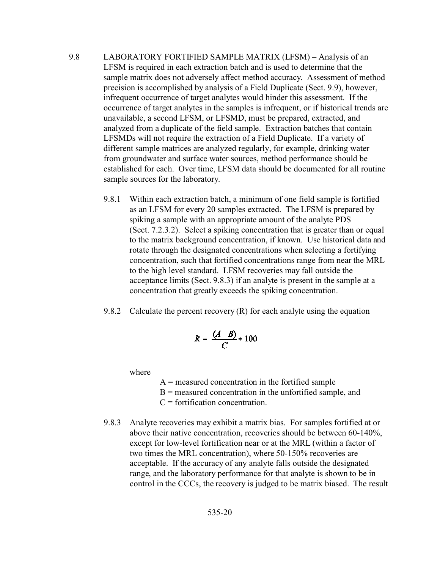- 9.8 LABORATORY FORTIFIED SAMPLE MATRIX (LFSM) Analysis of an LFSM is required in each extraction batch and is used to determine that the sample matrix does not adversely affect method accuracy. Assessment of method precision is accomplished by analysis of a Field Duplicate (Sect. 9.9), however, infrequent occurrence of target analytes would hinder this assessment. If the occurrence of target analytes in the samples is infrequent, or if historical trends are unavailable, a second LFSM, or LFSMD, must be prepared, extracted, and analyzed from a duplicate of the field sample. Extraction batches that contain LFSMDs will not require the extraction of a Field Duplicate. If a variety of different sample matrices are analyzed regularly, for example, drinking water from groundwater and surface water sources, method performance should be established for each. Over time, LFSM data should be documented for all routine sample sources for the laboratory.
	- 9.8.1 Within each extraction batch, a minimum of one field sample is fortified as an LFSM for every 20 samples extracted. The LFSM is prepared by spiking a sample with an appropriate amount of the analyte PDS (Sect. 7.2.3.2). Select a spiking concentration that is greater than or equal to the matrix background concentration, if known. Use historical data and rotate through the designated concentrations when selecting a fortifying concentration, such that fortified concentrations range from near the MRL to the high level standard. LFSM recoveries may fall outside the acceptance limits (Sect. 9.8.3) if an analyte is present in the sample at a concentration that greatly exceeds the spiking concentration.
	- 9.8.2 Calculate the percent recovery  $(R)$  for each analyte using the equation

$$
R = \frac{(A-B)}{C} \times 100
$$

where

- $A$  = measured concentration in the fortified sample
- $B$  = measured concentration in the unfortified sample, and
- $C =$  fortification concentration.
- 9.8.3 Analyte recoveries may exhibit a matrix bias. For samples fortified at or above their native concentration, recoveries should be between 60-140%, except for low-level fortification near or at the MRL (within a factor of two times the MRL concentration), where 50-150% recoveries are acceptable. If the accuracy of any analyte falls outside the designated range, and the laboratory performance for that analyte is shown to be in control in the CCCs, the recovery is judged to be matrix biased. The result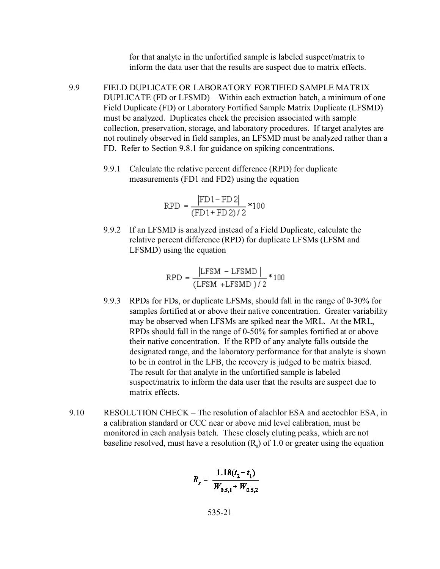for that analyte in the unfortified sample is labeled suspect/matrix to inform the data user that the results are suspect due to matrix effects.

- 9.9 FIELD DUPLICATE OR LABORATORY FORTIFIED SAMPLE MATRIX DUPLICATE (FD or LFSMD) – Within each extraction batch, a minimum of one Field Duplicate (FD) or Laboratory Fortified Sample Matrix Duplicate (LFSMD) must be analyzed. Duplicates check the precision associated with sample collection, preservation, storage, and laboratory procedures. If target analytes are not routinely observed in field samples, an LFSMD must be analyzed rather than a FD. Refer to Section 9.8.1 for guidance on spiking concentrations.
	- 9.9.1 Calculate the relative percent difference (RPD) for duplicate measurements (FD1 and FD2) using the equation

$$
RPD = \frac{|FD1 - FD2|}{(FD1 + FD2)/2} * 100
$$

9.9.2 If an LFSMD is analyzed instead of a Field Duplicate, calculate the relative percent difference (RPD) for duplicate LFSMs (LFSM and LFSMD) using the equation

$$
RPD = \frac{|LFSM - LFSMD|}{(LFSM + LFSMD)/2} * 100
$$

- 9.9.3 RPDs for FDs, or duplicate LFSMs, should fall in the range of 0-30% for samples fortified at or above their native concentration. Greater variability may be observed when LFSMs are spiked near the MRL. At the MRL, RPDs should fall in the range of 0-50% for samples fortified at or above their native concentration. If the RPD of any analyte falls outside the designated range, and the laboratory performance for that analyte is shown to be in control in the LFB, the recovery is judged to be matrix biased. The result for that analyte in the unfortified sample is labeled suspect/matrix to inform the data user that the results are suspect due to matrix effects.
- 9.10 RESOLUTION CHECK The resolution of alachlor ESA and acetochlor ESA, in a calibration standard or CCC near or above mid level calibration, must be monitored in each analysis batch. These closely eluting peaks, which are not baseline resolved, must have a resolution  $(R_s)$  of 1.0 or greater using the equation

$$
R_s = \frac{1.18(t_2 - t_1)}{W_{0.5,1} + W_{0.5,2}}
$$

535-21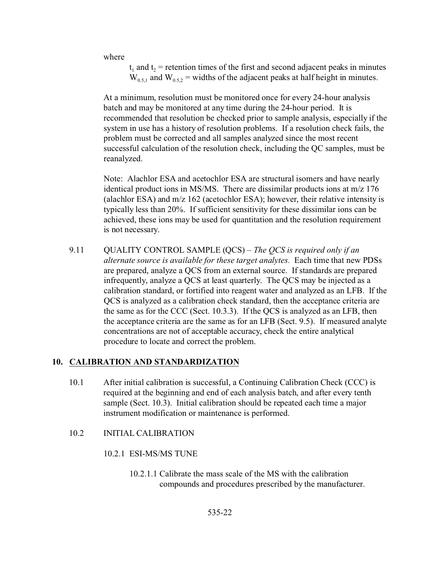where

 $t_1$  and  $t_2$  = retention times of the first and second adjacent peaks in minutes  $W_{0.5,1}$  and  $W_{0.5,2}$  = widths of the adjacent peaks at half height in minutes.

At a minimum, resolution must be monitored once for every 24-hour analysis batch and may be monitored at any time during the 24-hour period. It is recommended that resolution be checked prior to sample analysis, especially if the system in use has a history of resolution problems. If a resolution check fails, the problem must be corrected and all samples analyzed since the most recent successful calculation of the resolution check, including the QC samples, must be reanalyzed.

Note: Alachlor ESA and acetochlor ESA are structural isomers and have nearly identical product ions in MS/MS. There are dissimilar products ions at m/z 176 (alachlor ESA) and m/z 162 (acetochlor ESA); however, their relative intensity is typically less than 20%. If sufficient sensitivity for these dissimilar ions can be achieved, these ions may be used for quantitation and the resolution requirement is not necessary.

9.11 QUALITY CONTROL SAMPLE (QCS) – *The QCS is required only if an alternate source is available for these target analytes.* Each time that new PDSs are prepared, analyze a QCS from an external source. If standards are prepared infrequently, analyze a QCS at least quarterly. The QCS may be injected as a calibration standard, or fortified into reagent water and analyzed as an LFB. If the QCS is analyzed as a calibration check standard, then the acceptance criteria are the same as for the CCC (Sect. 10.3.3). If the QCS is analyzed as an LFB, then the acceptance criteria are the same as for an LFB (Sect. 9.5). If measured analyte concentrations are not of acceptable accuracy, check the entire analytical procedure to locate and correct the problem.

#### **10. CALIBRATION AND STANDARDIZATION**

10.1 After initial calibration is successful, a Continuing Calibration Check (CCC) is required at the beginning and end of each analysis batch, and after every tenth sample (Sect. 10.3). Initial calibration should be repeated each time a major instrument modification or maintenance is performed.

#### 10.2 INITIAL CALIBRATION

10.2.1 ESI-MS/MS TUNE

10.2.1.1 Calibrate the mass scale of the MS with the calibration compounds and procedures prescribed by the manufacturer.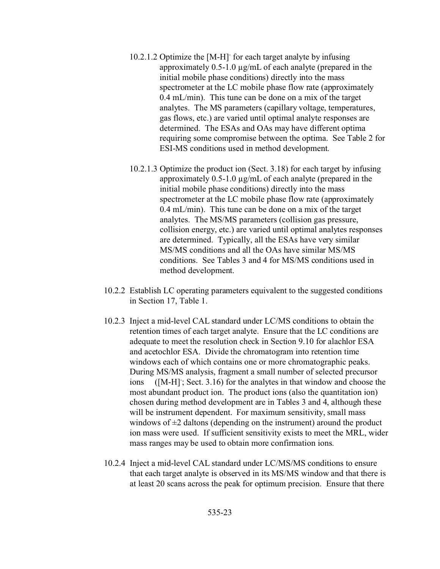- 10.2.1.2 Optimize the [M-H]- for each target analyte by infusing approximately 0.5-1.0 µg/mL of each analyte (prepared in the initial mobile phase conditions) directly into the mass spectrometer at the LC mobile phase flow rate (approximately 0.4 mL/min). This tune can be done on a mix of the target analytes. The MS parameters (capillary voltage, temperatures, gas flows, etc.) are varied until optimal analyte responses are determined. The ESAs and OAs may have different optima requiring some compromise between the optima. See Table 2 for ESI-MS conditions used in method development.
- 10.2.1.3 Optimize the product ion (Sect. 3.18) for each target by infusing approximately 0.5-1.0 µg/mL of each analyte (prepared in the initial mobile phase conditions) directly into the mass spectrometer at the LC mobile phase flow rate (approximately 0.4 mL/min). This tune can be done on a mix of the target analytes. The MS/MS parameters (collision gas pressure, collision energy, etc.) are varied until optimal analytes responses are determined. Typically, all the ESAs have very similar MS/MS conditions and all the OAs have similar MS/MS conditions. See Tables 3 and 4 for MS/MS conditions used in method development.
- 10.2.2 Establish LC operating parameters equivalent to the suggested conditions in Section 17, Table 1.
- 10.2.3 Inject a mid-level CAL standard under LC/MS conditions to obtain the retention times of each target analyte. Ensure that the LC conditions are adequate to meet the resolution check in Section 9.10 for alachlor ESA and acetochlor ESA. Divide the chromatogram into retention time windows each of which contains one or more chromatographic peaks. During MS/MS analysis, fragment a small number of selected precursor ions ([M-H]; Sect. 3.16) for the analytes in that window and choose the most abundant product ion. The product ions (also the quantitation ion) chosen during method development are in Tables 3 and 4, although these will be instrument dependent. For maximum sensitivity, small mass windows of  $\pm 2$  daltons (depending on the instrument) around the product ion mass were used. If sufficient sensitivity exists to meet the MRL, wider mass ranges may be used to obtain more confirmation ions.
- 10.2.4 Inject a mid-level CAL standard under LC/MS/MS conditions to ensure that each target analyte is observed in its MS/MS window and that there is at least 20 scans across the peak for optimum precision. Ensure that there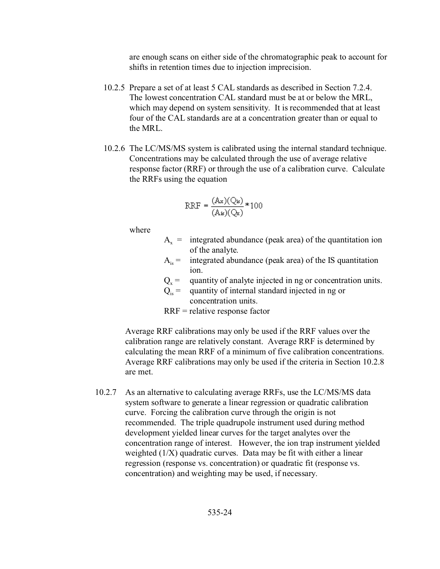are enough scans on either side of the chromatographic peak to account for shifts in retention times due to injection imprecision.

- 10.2.5 Prepare a set of at least 5 CAL standards as described in Section 7.2.4. The lowest concentration CAL standard must be at or below the MRL, which may depend on system sensitivity. It is recommended that at least four of the CAL standards are at a concentration greater than or equal to the MRL.
- 10.2.6 The LC/MS/MS system is calibrated using the internal standard technique. Concentrations may be calculated through the use of average relative response factor (RRF) or through the use of a calibration curve. Calculate the RRFs using the equation

$$
RRF = \frac{(Ax)(Q_{is})}{(A_{is})(Q_{x})} * 100
$$

where

- $A_x$  = integrated abundance (peak area) of the quantitation ion of the analyte.
- $A_{is}$  = integrated abundance (peak area) of the IS quantitation ion.
- $Q_x$  $Q_x$  = quantity of analyte injected in ng or concentration units.
	- $Q_i =$  quantity of internal standard injected in ng or concentration units.
	- RRF = relative response factor

Average RRF calibrations may only be used if the RRF values over the calibration range are relatively constant. Average RRF is determined by calculating the mean RRF of a minimum of five calibration concentrations. Average RRF calibrations may only be used if the criteria in Section 10.2.8 are met.

10.2.7 As an alternative to calculating average RRFs, use the LC/MS/MS data system software to generate a linear regression or quadratic calibration curve. Forcing the calibration curve through the origin is not recommended. The triple quadrupole instrument used during method development yielded linear curves for the target analytes over the concentration range of interest. However, the ion trap instrument yielded weighted (1/X) quadratic curves. Data may be fit with either a linear regression (response vs. concentration) or quadratic fit (response vs. concentration) and weighting may be used, if necessary.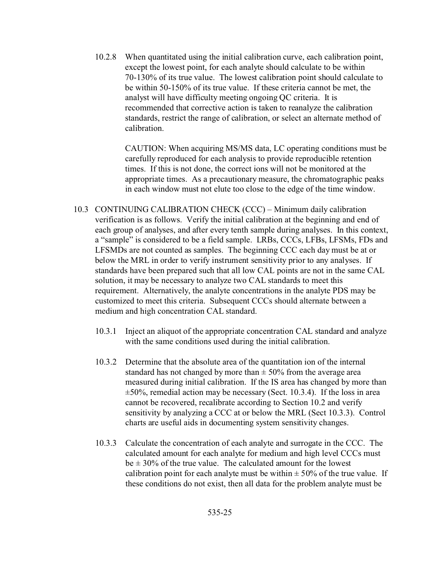10.2.8 When quantitated using the initial calibration curve, each calibration point, except the lowest point, for each analyte should calculate to be within 70-130% of its true value. The lowest calibration point should calculate to be within 50-150% of its true value. If these criteria cannot be met, the analyst will have difficulty meeting ongoing QC criteria. It is recommended that corrective action is taken to reanalyze the calibration standards, restrict the range of calibration, or select an alternate method of calibration.

> CAUTION: When acquiring MS/MS data, LC operating conditions must be carefully reproduced for each analysis to provide reproducible retention times. If this is not done, the correct ions will not be monitored at the appropriate times. As a precautionary measure, the chromatographic peaks in each window must not elute too close to the edge of the time window.

- 10.3 CONTINUING CALIBRATION CHECK (CCC) Minimum daily calibration verification is as follows. Verify the initial calibration at the beginning and end of each group of analyses, and after every tenth sample during analyses. In this context, a "sample" is considered to be a field sample. LRBs, CCCs, LFBs, LFSMs, FDs and LFSMDs are not counted as samples. The beginning CCC each day must be at or below the MRL in order to verify instrument sensitivity prior to any analyses. If standards have been prepared such that all low CAL points are not in the same CAL solution, it may be necessary to analyze two CAL standards to meet this requirement. Alternatively, the analyte concentrations in the analyte PDS may be customized to meet this criteria. Subsequent CCCs should alternate between a medium and high concentration CAL standard.
	- 10.3.1 Inject an aliquot of the appropriate concentration CAL standard and analyze with the same conditions used during the initial calibration.
	- 10.3.2 Determine that the absolute area of the quantitation ion of the internal standard has not changed by more than  $\pm$  50% from the average area measured during initial calibration. If the IS area has changed by more than  $\pm 50\%$ , remedial action may be necessary (Sect. 10.3.4). If the loss in area cannot be recovered, recalibrate according to Section 10.2 and verify sensitivity by analyzing a CCC at or below the MRL (Sect 10.3.3). Control charts are useful aids in documenting system sensitivity changes.
	- 10.3.3 Calculate the concentration of each analyte and surrogate in the CCC. The calculated amount for each analyte for medium and high level CCCs must  $be \pm 30\%$  of the true value. The calculated amount for the lowest calibration point for each analyte must be within  $\pm$  50% of the true value. If these conditions do not exist, then all data for the problem analyte must be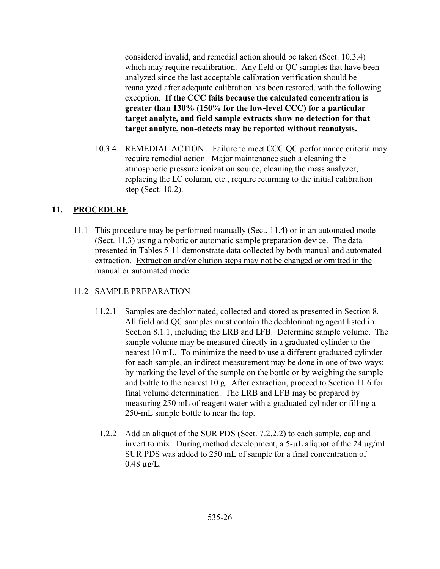considered invalid, and remedial action should be taken (Sect. 10.3.4) which may require recalibration. Any field or QC samples that have been analyzed since the last acceptable calibration verification should be reanalyzed after adequate calibration has been restored, with the following exception. **If the CCC fails because the calculated concentration is greater than 130% (150% for the low-level CCC) for a particular target analyte, and field sample extracts show no detection for that target analyte, non-detects may be reported without reanalysis.**

10.3.4 REMEDIAL ACTION – Failure to meet CCC QC performance criteria may require remedial action. Major maintenance such a cleaning the atmospheric pressure ionization source, cleaning the mass analyzer, replacing the LC column, etc., require returning to the initial calibration step (Sect. 10.2).

# **11. PROCEDURE**

11.1 This procedure may be performed manually (Sect. 11.4) or in an automated mode (Sect. 11.3) using a robotic or automatic sample preparation device. The data presented in Tables 5-11 demonstrate data collected by both manual and automated extraction. Extraction and/or elution steps may not be changed or omitted in the manual or automated mode.

#### 11.2 SAMPLE PREPARATION

- 11.2.1 Samples are dechlorinated, collected and stored as presented in Section 8. All field and QC samples must contain the dechlorinating agent listed in Section 8.1.1, including the LRB and LFB. Determine sample volume. The sample volume may be measured directly in a graduated cylinder to the nearest 10 mL. To minimize the need to use a different graduated cylinder for each sample, an indirect measurement may be done in one of two ways: by marking the level of the sample on the bottle or by weighing the sample and bottle to the nearest 10 g. After extraction, proceed to Section 11.6 for final volume determination. The LRB and LFB may be prepared by measuring 250 mL of reagent water with a graduated cylinder or filling a 250-mL sample bottle to near the top.
- 11.2.2 Add an aliquot of the SUR PDS (Sect. 7.2.2.2) to each sample, cap and invert to mix. During method development, a 5- $\mu$ L aliquot of the 24  $\mu$ g/mL SUR PDS was added to 250 mL of sample for a final concentration of  $0.48 \mu g/L$ .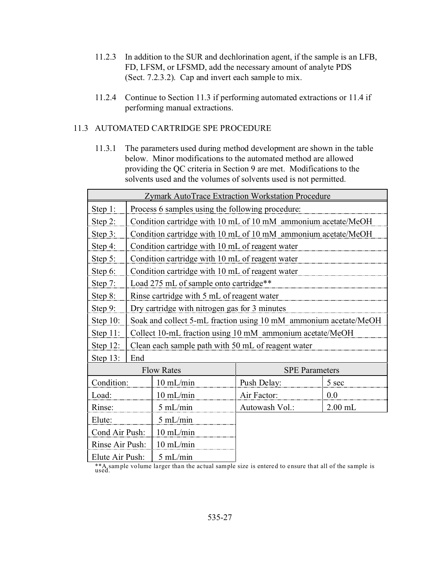- 11.2.3 In addition to the SUR and dechlorination agent, if the sample is an LFB, FD, LFSM, or LFSMD, add the necessary amount of analyte PDS (Sect. 7.2.3.2). Cap and invert each sample to mix.
- 11.2.4 Continue to Section 11.3 if performing automated extractions or 11.4 if performing manual extractions.

## 11.3 AUTOMATED CARTRIDGE SPE PROCEDURE

11.3.1 The parameters used during method development are shown in the table below. Minor modifications to the automated method are allowed providing the QC criteria in Section 9 are met. Modifications to the solvents used and the volumes of solvents used is not permitted.

| <b>Zymark AutoTrace Extraction Workstation Procedure</b> |     |                                                                  |                |                       |  |  |  |  |  |
|----------------------------------------------------------|-----|------------------------------------------------------------------|----------------|-----------------------|--|--|--|--|--|
| Step 1:                                                  |     | Process 6 samples using the following procedure:                 |                |                       |  |  |  |  |  |
| Step $2$ :                                               |     | Condition cartridge with 10 mL of 10 mM ammonium acetate/MeOH    |                |                       |  |  |  |  |  |
| Step 3:                                                  |     | Condition cartridge with 10 mL of 10 mM ammonium acetate/MeOH    |                |                       |  |  |  |  |  |
| Step 4:                                                  |     | Condition cartridge with 10 mL of reagent water                  |                |                       |  |  |  |  |  |
| Step 5:                                                  |     | Condition cartridge with 10 mL of reagent water                  |                |                       |  |  |  |  |  |
| Step 6:                                                  |     | Condition cartridge with 10 mL of reagent water                  |                |                       |  |  |  |  |  |
| Step 7:                                                  |     | Load 275 mL of sample onto cartridge**                           |                |                       |  |  |  |  |  |
| Step 8:                                                  |     | Rinse cartridge with 5 mL of reagent water                       |                |                       |  |  |  |  |  |
| Step 9:                                                  |     | Dry cartridge with nitrogen gas for 3 minutes                    |                |                       |  |  |  |  |  |
| Step 10:                                                 |     | Soak and collect 5-mL fraction using 10 mM ammonium acetate/MeOH |                |                       |  |  |  |  |  |
| Step 11:                                                 |     | Collect 10-mL fraction using 10 mM ammonium acetate/MeOH         |                |                       |  |  |  |  |  |
| Step 12:                                                 |     | Clean each sample path with 50 mL of reagent water               |                |                       |  |  |  |  |  |
| Step 13:                                                 | End |                                                                  |                |                       |  |  |  |  |  |
|                                                          |     | <b>Flow Rates</b>                                                |                | <b>SPE Parameters</b> |  |  |  |  |  |
| Condition:                                               |     | 10 mL/min                                                        | Push Delay:    | 5 sec                 |  |  |  |  |  |
| Load:                                                    |     | 10 mL/min                                                        | Air Factor:    | 0.0                   |  |  |  |  |  |
| Rinse:                                                   |     | $5$ mL/min                                                       | Autowash Vol.: | $2.00$ mL             |  |  |  |  |  |
| Elute:                                                   |     | $5$ mL/min                                                       |                |                       |  |  |  |  |  |
| Cond Air Push:                                           |     | 10 mL/min                                                        |                |                       |  |  |  |  |  |
| Rinse Air Push:                                          |     | 10 mL/min                                                        |                |                       |  |  |  |  |  |
| Elute Air Push:                                          |     | $5$ mL/min                                                       |                |                       |  |  |  |  |  |

\*\*A sample volume larger than the actual sample size is entered to ensure that all of the sample is used.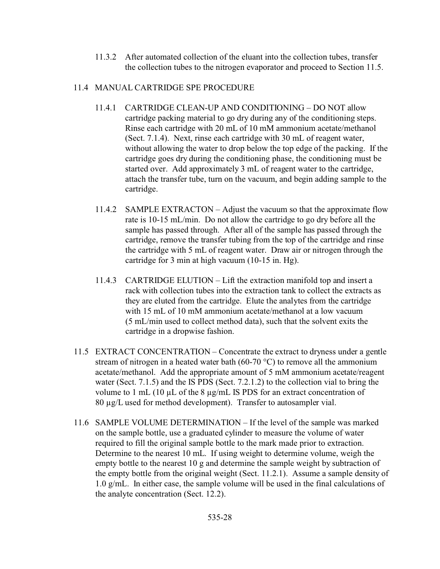11.3.2 After automated collection of the eluant into the collection tubes, transfer the collection tubes to the nitrogen evaporator and proceed to Section 11.5.

# 11.4 MANUAL CARTRIDGE SPE PROCEDURE

- 11.4.1 CARTRIDGE CLEAN-UP AND CONDITIONING DO NOT allow cartridge packing material to go dry during any of the conditioning steps. Rinse each cartridge with 20 mL of 10 mM ammonium acetate/methanol (Sect. 7.1.4). Next, rinse each cartridge with 30 mL of reagent water, without allowing the water to drop below the top edge of the packing. If the cartridge goes dry during the conditioning phase, the conditioning must be started over. Add approximately 3 mL of reagent water to the cartridge, attach the transfer tube, turn on the vacuum, and begin adding sample to the cartridge.
- 11.4.2 SAMPLE EXTRACTON Adjust the vacuum so that the approximate flow rate is 10-15 mL/min. Do not allow the cartridge to go dry before all the sample has passed through. After all of the sample has passed through the cartridge, remove the transfer tubing from the top of the cartridge and rinse the cartridge with 5 mL of reagent water. Draw air or nitrogen through the cartridge for 3 min at high vacuum (10-15 in. Hg).
- 11.4.3 CARTRIDGE ELUTION Lift the extraction manifold top and insert a rack with collection tubes into the extraction tank to collect the extracts as they are eluted from the cartridge. Elute the analytes from the cartridge with 15 mL of 10 mM ammonium acetate/methanol at a low vacuum (5 mL/min used to collect method data), such that the solvent exits the cartridge in a dropwise fashion.
- 11.5 EXTRACT CONCENTRATION Concentrate the extract to dryness under a gentle stream of nitrogen in a heated water bath (60-70  $^{\circ}$ C) to remove all the ammonium acetate/methanol. Add the appropriate amount of 5 mM ammonium acetate/reagent water (Sect. 7.1.5) and the IS PDS (Sect. 7.2.1.2) to the collection vial to bring the volume to 1 mL (10 µL of the 8 µg/mL IS PDS for an extract concentration of 80 µg/L used for method development). Transfer to autosampler vial.
- 11.6 SAMPLE VOLUME DETERMINATION If the level of the sample was marked on the sample bottle, use a graduated cylinder to measure the volume of water required to fill the original sample bottle to the mark made prior to extraction. Determine to the nearest 10 mL. If using weight to determine volume, weigh the empty bottle to the nearest 10 g and determine the sample weight by subtraction of the empty bottle from the original weight (Sect. 11.2.1). Assume a sample density of 1.0 g/mL. In either case, the sample volume will be used in the final calculations of the analyte concentration (Sect. 12.2).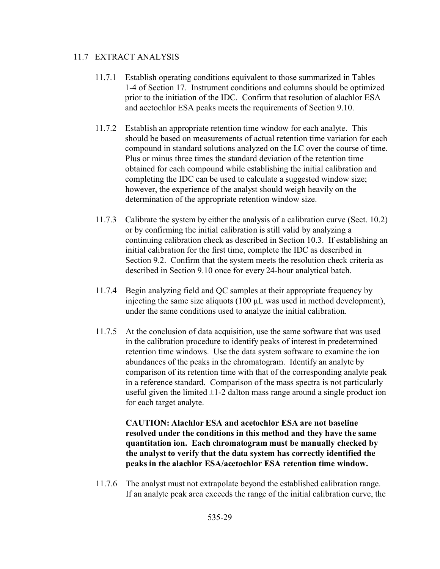#### 11.7 EXTRACT ANALYSIS

- 11.7.1 Establish operating conditions equivalent to those summarized in Tables 1-4 of Section 17. Instrument conditions and columns should be optimized prior to the initiation of the IDC. Confirm that resolution of alachlor ESA and acetochlor ESA peaks meets the requirements of Section 9.10.
- 11.7.2 Establish an appropriate retention time window for each analyte. This should be based on measurements of actual retention time variation for each compound in standard solutions analyzed on the LC over the course of time. Plus or minus three times the standard deviation of the retention time obtained for each compound while establishing the initial calibration and completing the IDC can be used to calculate a suggested window size; however, the experience of the analyst should weigh heavily on the determination of the appropriate retention window size.
- 11.7.3 Calibrate the system by either the analysis of a calibration curve (Sect. 10.2) or by confirming the initial calibration is still valid by analyzing a continuing calibration check as described in Section 10.3. If establishing an initial calibration for the first time, complete the IDC as described in Section 9.2. Confirm that the system meets the resolution check criteria as described in Section 9.10 once for every 24-hour analytical batch.
- 11.7.4 Begin analyzing field and QC samples at their appropriate frequency by injecting the same size aliquots  $(100 \mu L)$  was used in method development), under the same conditions used to analyze the initial calibration.
- 11.7.5 At the conclusion of data acquisition, use the same software that was used in the calibration procedure to identify peaks of interest in predetermined retention time windows. Use the data system software to examine the ion abundances of the peaks in the chromatogram. Identify an analyte by comparison of its retention time with that of the corresponding analyte peak in a reference standard. Comparison of the mass spectra is not particularly useful given the limited  $\pm 1$ -2 dalton mass range around a single product ion for each target analyte.

**CAUTION: Alachlor ESA and acetochlor ESA are not baseline resolved under the conditions in this method and they have the same quantitation ion. Each chromatogram must be manually checked by the analyst to verify that the data system has correctly identified the peaks in the alachlor ESA/acetochlor ESA retention time window.**

11.7.6 The analyst must not extrapolate beyond the established calibration range. If an analyte peak area exceeds the range of the initial calibration curve, the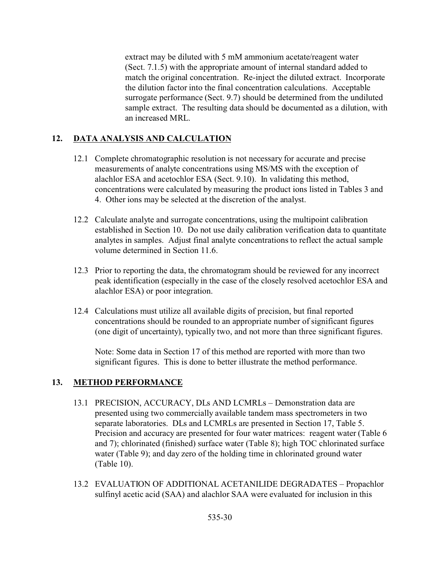extract may be diluted with 5 mM ammonium acetate/reagent water (Sect. 7.1.5) with the appropriate amount of internal standard added to match the original concentration. Re-inject the diluted extract. Incorporate the dilution factor into the final concentration calculations. Acceptable surrogate performance (Sect. 9.7) should be determined from the undiluted sample extract. The resulting data should be documented as a dilution, with an increased MRL.

# **12. DATA ANALYSIS AND CALCULATION**

- 12.1 Complete chromatographic resolution is not necessary for accurate and precise measurements of analyte concentrations using MS/MS with the exception of alachlor ESA and acetochlor ESA (Sect. 9.10). In validating this method, concentrations were calculated by measuring the product ions listed in Tables 3 and 4. Other ions may be selected at the discretion of the analyst.
- 12.2 Calculate analyte and surrogate concentrations, using the multipoint calibration established in Section 10. Do not use daily calibration verification data to quantitate analytes in samples. Adjust final analyte concentrations to reflect the actual sample volume determined in Section 11.6.
- 12.3 Prior to reporting the data, the chromatogram should be reviewed for any incorrect peak identification (especially in the case of the closely resolved acetochlor ESA and alachlor ESA) or poor integration.
- 12.4 Calculations must utilize all available digits of precision, but final reported concentrations should be rounded to an appropriate number of significant figures (one digit of uncertainty), typically two, and not more than three significant figures.

Note: Some data in Section 17 of this method are reported with more than two significant figures. This is done to better illustrate the method performance.

# **13. METHOD PERFORMANCE**

- 13.1 PRECISION, ACCURACY, DLs AND LCMRLs Demonstration data are presented using two commercially available tandem mass spectrometers in two separate laboratories. DLs and LCMRLs are presented in Section 17, Table 5. Precision and accuracy are presented for four water matrices: reagent water (Table 6 and 7); chlorinated (finished) surface water (Table 8); high TOC chlorinated surface water (Table 9); and day zero of the holding time in chlorinated ground water (Table 10).
- 13.2 EVALUATION OF ADDITIONAL ACETANILIDE DEGRADATES Propachlor sulfinyl acetic acid (SAA) and alachlor SAA were evaluated for inclusion in this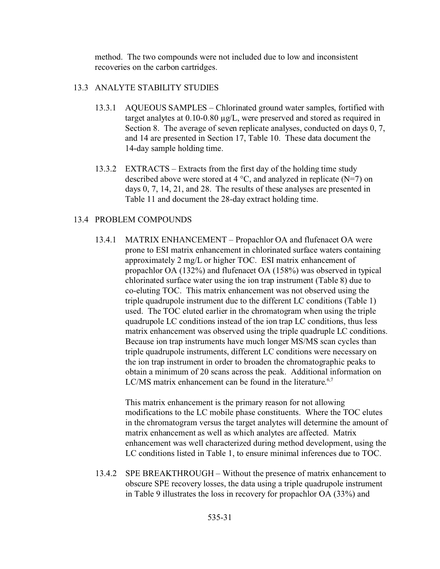method. The two compounds were not included due to low and inconsistent recoveries on the carbon cartridges.

#### 13.3 ANALYTE STABILITY STUDIES

- 13.3.1 AQUEOUS SAMPLES Chlorinated ground water samples, fortified with target analytes at 0.10-0.80 µg/L, were preserved and stored as required in Section 8. The average of seven replicate analyses, conducted on days 0, 7, and 14 are presented in Section 17, Table 10. These data document the 14-day sample holding time.
- 13.3.2 EXTRACTS Extracts from the first day of the holding time study described above were stored at  $4^{\circ}$ C, and analyzed in replicate (N=7) on days 0, 7, 14, 21, and 28. The results of these analyses are presented in Table 11 and document the 28-day extract holding time.

## 13.4 PROBLEM COMPOUNDS

13.4.1 MATRIX ENHANCEMENT – Propachlor OA and flufenacet OA were prone to ESI matrix enhancement in chlorinated surface waters containing approximately 2 mg/L or higher TOC. ESI matrix enhancement of propachlor OA (132%) and flufenacet OA (158%) was observed in typical chlorinated surface water using the ion trap instrument (Table 8) due to co-eluting TOC. This matrix enhancement was not observed using the triple quadrupole instrument due to the different LC conditions (Table 1) used. The TOC eluted earlier in the chromatogram when using the triple quadrupole LC conditions instead of the ion trap LC conditions, thus less matrix enhancement was observed using the triple quadruple LC conditions. Because ion trap instruments have much longer MS/MS scan cycles than triple quadrupole instruments, different LC conditions were necessary on the ion trap instrument in order to broaden the chromatographic peaks to obtain a minimum of 20 scans across the peak. Additional information on LC/MS matrix enhancement can be found in the literature.<sup>6,7</sup>

This matrix enhancement is the primary reason for not allowing modifications to the LC mobile phase constituents. Where the TOC elutes in the chromatogram versus the target analytes will determine the amount of matrix enhancement as well as which analytes are affected. Matrix enhancement was well characterized during method development, using the LC conditions listed in Table 1, to ensure minimal inferences due to TOC.

13.4.2 SPE BREAKTHROUGH – Without the presence of matrix enhancement to obscure SPE recovery losses, the data using a triple quadrupole instrument in Table 9 illustrates the loss in recovery for propachlor OA (33%) and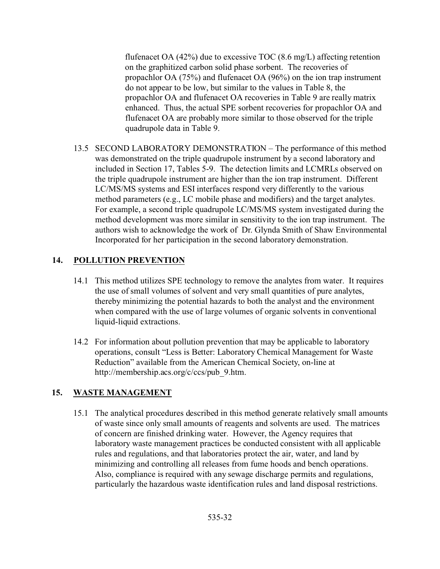flufenacet OA (42%) due to excessive TOC (8.6 mg/L) affecting retention on the graphitized carbon solid phase sorbent. The recoveries of propachlor OA (75%) and flufenacet OA (96%) on the ion trap instrument do not appear to be low, but similar to the values in Table 8, the propachlor OA and flufenacet OA recoveries in Table 9 are really matrix enhanced. Thus, the actual SPE sorbent recoveries for propachlor OA and flufenacet OA are probably more similar to those observed for the triple quadrupole data in Table 9.

13.5 SECOND LABORATORY DEMONSTRATION – The performance of this method was demonstrated on the triple quadrupole instrument by a second laboratory and included in Section 17, Tables 5-9. The detection limits and LCMRLs observed on the triple quadrupole instrument are higher than the ion trap instrument. Different LC/MS/MS systems and ESI interfaces respond very differently to the various method parameters (e.g., LC mobile phase and modifiers) and the target analytes. For example, a second triple quadrupole LC/MS/MS system investigated during the method development was more similar in sensitivity to the ion trap instrument. The authors wish to acknowledge the work of Dr. Glynda Smith of Shaw Environmental Incorporated for her participation in the second laboratory demonstration.

# **14. POLLUTION PREVENTION**

- 14.1 This method utilizes SPE technology to remove the analytes from water. It requires the use of small volumes of solvent and very small quantities of pure analytes, thereby minimizing the potential hazards to both the analyst and the environment when compared with the use of large volumes of organic solvents in conventional liquid-liquid extractions.
- 14.2 For information about pollution prevention that may be applicable to laboratory operations, consult "Less is Better: Laboratory Chemical Management for Waste Reduction" available from the American Chemical Society, on-line at http://membership.acs.org/c/ccs/pub\_9.htm.

# **15. WASTE MANAGEMENT**

15.1 The analytical procedures described in this method generate relatively small amounts of waste since only small amounts of reagents and solvents are used. The matrices of concern are finished drinking water. However, the Agency requires that laboratory waste management practices be conducted consistent with all applicable rules and regulations, and that laboratories protect the air, water, and land by minimizing and controlling all releases from fume hoods and bench operations. Also, compliance is required with any sewage discharge permits and regulations, particularly the hazardous waste identification rules and land disposal restrictions.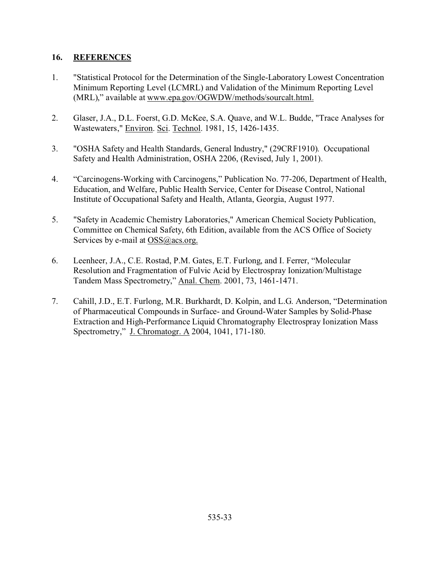## **16. REFERENCES**

- 1. "Statistical Protocol for the Determination of the Single-Laboratory Lowest Concentration Minimum Reporting Level (LCMRL) and Validation of the Minimum Reporting Level (MRL)," available at www.epa.gov/OGWDW/methods/sourcalt.html.
- 2. Glaser, J.A., D.L. Foerst, G.D. McKee, S.A. Quave, and W.L. Budde, "Trace Analyses for Wastewaters," Environ. Sci. Technol. 1981, 15, 1426-1435.
- 3. "OSHA Safety and Health Standards, General Industry," (29CRF1910). Occupational Safety and Health Administration, OSHA 2206, (Revised, July 1, 2001).
- 4. "Carcinogens-Working with Carcinogens," Publication No. 77-206, Department of Health, Education, and Welfare, Public Health Service, Center for Disease Control, National Institute of Occupational Safety and Health, Atlanta, Georgia, August 1977.
- 5. "Safety in Academic Chemistry Laboratories," American Chemical Society Publication, Committee on Chemical Safety, 6th Edition, available from the ACS Office of Society Services by e-mail at OSS@acs.org.
- 6. Leenheer, J.A., C.E. Rostad, P.M. Gates, E.T. Furlong, and I. Ferrer, "Molecular Resolution and Fragmentation of Fulvic Acid by Electrospray Ionization/Multistage Tandem Mass Spectrometry," Anal. Chem. 2001, 73, 1461-1471.
- 7. Cahill, J.D., E.T. Furlong, M.R. Burkhardt, D. Kolpin, and L.G. Anderson, "Determination of Pharmaceutical Compounds in Surface- and Ground-Water Samples by Solid-Phase Extraction and High-Performance Liquid Chromatography Electrospray Ionization Mass Spectrometry," J. Chromatogr. A 2004, 1041, 171-180.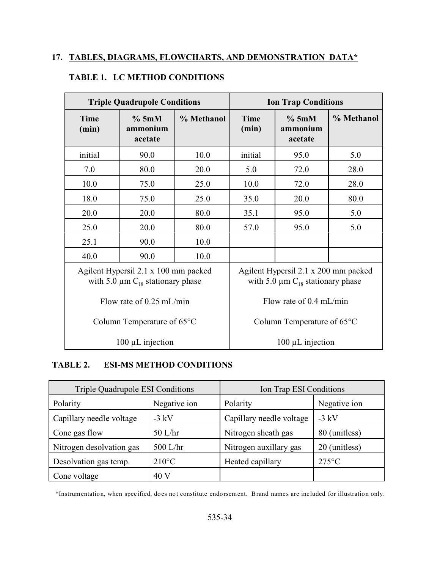# **17. TABLES, DIAGRAMS, FLOWCHARTS, AND DEMONSTRATION DATA\***

| <b>Triple Quadrupole Conditions</b>  |                                                                                           |            | <b>Ion Trap Conditions</b> |                                                                                           |            |  |
|--------------------------------------|-------------------------------------------------------------------------------------------|------------|----------------------------|-------------------------------------------------------------------------------------------|------------|--|
| <b>Time</b><br>(min)                 | %5mM<br>ammonium<br>acetate                                                               | % Methanol | <b>Time</b><br>(min)       | %5mM<br>ammonium<br>acetate                                                               | % Methanol |  |
| initial                              | 90.0                                                                                      | 10.0       | initial                    | 95.0                                                                                      | 5.0        |  |
| 7.0                                  | 80.0                                                                                      | 20.0       | 5.0                        | 72.0                                                                                      | 28.0       |  |
| 10.0                                 | 75.0                                                                                      | 25.0       | 10.0                       | 72.0                                                                                      | 28.0       |  |
| 18.0                                 | 75.0                                                                                      | 25.0       | 35.0                       | 20.0                                                                                      | 80.0       |  |
| 20.0                                 | 20.0                                                                                      | 80.0       | 35.1                       | 95.0                                                                                      | 5.0        |  |
| 25.0                                 | 20.0                                                                                      | 80.0       | 57.0                       | 95.0                                                                                      | 5.0        |  |
| 25.1                                 | 90.0                                                                                      | 10.0       |                            |                                                                                           |            |  |
| 40.0                                 | 90.0                                                                                      | 10.0       |                            |                                                                                           |            |  |
|                                      | Agilent Hypersil 2.1 x 100 mm packed<br>with 5.0 $\mu$ m C <sub>18</sub> stationary phase |            |                            | Agilent Hypersil 2.1 x 200 mm packed<br>with 5.0 $\mu$ m C <sub>18</sub> stationary phase |            |  |
| Flow rate of $0.25$ mL/min           |                                                                                           |            | Flow rate of $0.4$ mL/min  |                                                                                           |            |  |
| Column Temperature of $65^{\circ}$ C |                                                                                           |            |                            | Column Temperature of $65^{\circ}$ C                                                      |            |  |
|                                      | $100 \mu L$ injection                                                                     |            |                            | $100 \mu L$ injection                                                                     |            |  |

# **TABLE 1. LC METHOD CONDITIONS**

#### **TABLE 2. ESI-MS METHOD CONDITIONS**

| <b>Triple Quadrupole ESI Conditions</b> |                 | Ion Trap ESI Conditions  |                 |  |
|-----------------------------------------|-----------------|--------------------------|-----------------|--|
| Negative ion<br>Polarity                |                 | Polarity                 | Negative ion    |  |
| Capillary needle voltage                | $-3$ kV         | Capillary needle voltage | $-3$ kV         |  |
| Cone gas flow                           | $50$ L/hr       | Nitrogen sheath gas      | 80 (unitless)   |  |
| Nitrogen desolvation gas                | 500 L/hr        | Nitrogen auxillary gas   | 20 (unitless)   |  |
| Desolvation gas temp.                   | $210^{\circ}$ C | Heated capillary         | $275^{\circ}$ C |  |
| Cone voltage                            | 40 V            |                          |                 |  |

\*Instrumentation, when specified, does not constitute endorsement. Brand names are included for illustration only.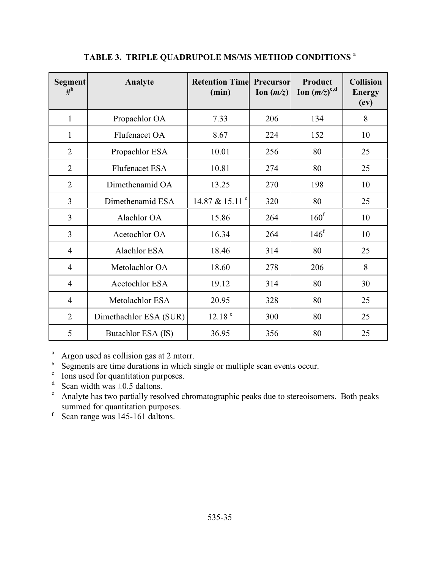| <b>Segment</b><br>$\overline{\mathbf{H}}^{\mathbf{b}}$ | Analyte                | <b>Retention Time</b><br>(min) | Precursor<br>Ion $(m/z)$ | Product<br>Ion $(m/z)^{c,d}$ | <b>Collision</b><br><b>Energy</b><br>$\left(\mathbf{ev}\right)$ |
|--------------------------------------------------------|------------------------|--------------------------------|--------------------------|------------------------------|-----------------------------------------------------------------|
| 1                                                      | Propachlor OA          | 7.33                           | 206                      | 134                          | 8                                                               |
| 1                                                      | Flufenacet OA          | 8.67                           | 224                      | 152                          | 10                                                              |
| $\overline{2}$                                         | Propachlor ESA         | 10.01                          | 256                      | 80                           | 25                                                              |
| $\overline{2}$                                         | <b>Flufenacet ESA</b>  | 10.81                          | 274                      | 80                           | 25                                                              |
| $\overline{2}$                                         | Dimethenamid OA        | 13.25                          | 270                      | 198                          | 10                                                              |
| $\overline{3}$                                         | Dimethenamid ESA       | 14.87 & 15.11 <sup>e</sup>     | 320                      | 80                           | 25                                                              |
| $\overline{3}$                                         | Alachlor OA            | 15.86                          | 264                      | 160 <sup>f</sup>             | 10                                                              |
| $\overline{3}$                                         | Acetochlor OA          | 16.34                          | 264                      | 146 <sup>f</sup>             | 10                                                              |
| $\overline{4}$                                         | <b>Alachlor ESA</b>    | 18.46                          | 314                      | 80                           | 25                                                              |
| $\overline{4}$                                         | Metolachlor OA         | 18.60                          | 278                      | 206                          | 8                                                               |
| $\overline{4}$                                         | Acetochlor ESA         | 19.12                          | 314                      | 80                           | 30                                                              |
| $\overline{4}$                                         | Metolachlor ESA        | 20.95                          | 328                      | 80                           | 25                                                              |
| $\overline{2}$                                         | Dimethachlor ESA (SUR) | 12.18 <sup>e</sup>             | 300                      | 80                           | 25                                                              |
| 5                                                      | Butachlor ESA (IS)     | 36.95                          | 356                      | 80                           | 25                                                              |

# **TABLE 3. TRIPLE QUADRUPOLE MS/MS METHOD CONDITIONS** <sup>a</sup>

<sup>a</sup> Argon used as collision gas at 2 mtorr.

<sup>b</sup> Segments are time durations in which single or multiple scan events occur.

<sup>c</sup> Ions used for quantitation purposes.

 $d$  Scan width was  $\pm 0.5$  daltons.

<sup>e</sup> Analyte has two partially resolved chromatographic peaks due to stereoisomers. Both peaks summed for quantitation purposes.

 $\frac{1}{10}$  Scan range was 145-161 daltons.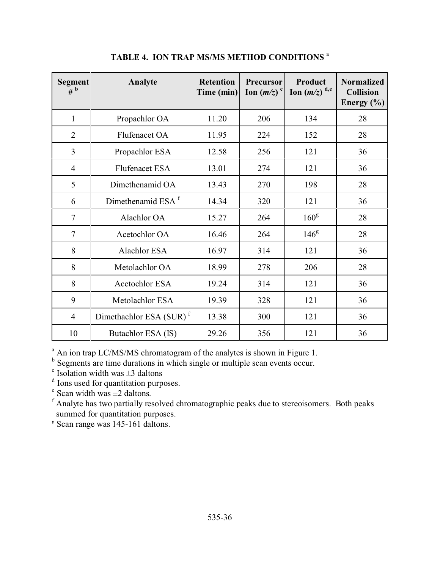| <b>Segment</b><br>$#^{\mathbf{b}}$ | Analyte                             | <b>Retention</b><br>Time (min) | <b>Precursor</b><br>Ion $(m/z)^c$ | Product<br>Ion $(m/z)^{d,e}$ | <b>Normalized</b><br><b>Collision</b><br>Energy $(\% )$ |
|------------------------------------|-------------------------------------|--------------------------------|-----------------------------------|------------------------------|---------------------------------------------------------|
| $\mathbf{1}$                       | Propachlor OA                       | 11.20                          | 206                               | 134                          | 28                                                      |
| $\overline{2}$                     | Flufenacet OA                       | 11.95                          | 224                               | 152                          | 28                                                      |
| $\overline{3}$                     | Propachlor ESA                      | 12.58                          | 256                               | 121                          | 36                                                      |
| $\overline{4}$                     | <b>Flufenacet ESA</b>               | 13.01                          | 274                               | 121                          | 36                                                      |
| 5                                  | Dimethenamid OA                     | 13.43                          | 270                               | 198                          | 28                                                      |
| 6                                  | Dimethenamid ESA <sup>f</sup>       | 14.34                          | 320                               | 121                          | 36                                                      |
| $\tau$                             | Alachlor OA                         | 15.27                          | 264                               | 160 <sup>g</sup>             | 28                                                      |
| $\tau$                             | Acetochlor OA                       | 16.46                          | 264                               | 146 <sup>g</sup>             | 28                                                      |
| 8                                  | <b>Alachlor ESA</b>                 | 16.97                          | 314                               | 121                          | 36                                                      |
| 8                                  | Metolachlor OA                      | 18.99                          | 278                               | 206                          | 28                                                      |
| 8                                  | Acetochlor ESA                      | 19.24                          | 314                               | 121                          | 36                                                      |
| 9                                  | Metolachlor ESA                     | 19.39                          | 328                               | 121                          | 36                                                      |
| $\overline{4}$                     | Dimethachlor ESA (SUR) <sup>1</sup> | 13.38                          | 300                               | 121                          | 36                                                      |
| 10                                 | Butachlor ESA (IS)                  | 29.26                          | 356                               | 121                          | 36                                                      |

**TABLE 4. ION TRAP MS/MS METHOD CONDITIONS** <sup>a</sup>

<sup>a</sup> An ion trap LC/MS/MS chromatogram of the analytes is shown in Figure 1.<br><sup>b</sup> Segments are time durations in which single or multiple scan events occur.<br><sup>c</sup> Isolation width was  $\pm 3$  daltons

<sup>d</sup> Ions used for quantitation purposes.

 $e$  Scan width was  $\pm 2$  daltons.

<sup>f</sup> Analyte has two partially resolved chromatographic peaks due to stereoisomers. Both peaks summed for quantitation purposes.

g Scan range was 145-161 daltons.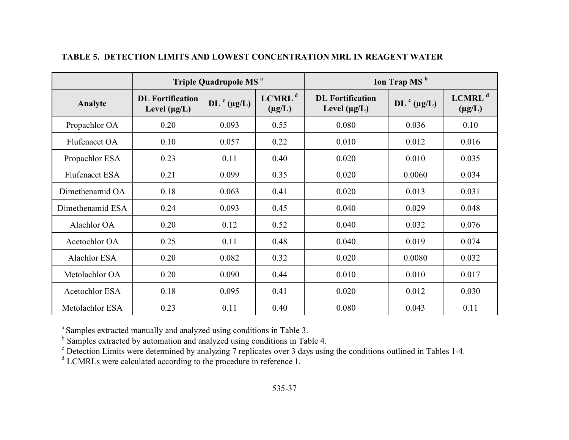|                       | Triple Quadrupole MS <sup>a</sup>            |                   |                                   |                                              | Ion Trap MS <sup>b</sup> |                                   |
|-----------------------|----------------------------------------------|-------------------|-----------------------------------|----------------------------------------------|--------------------------|-----------------------------------|
| Analyte               | <b>DL</b> Fortification<br>Level $(\mu g/L)$ | $DL^{c}(\mu g/L)$ | LCMRL <sup>d</sup><br>$(\mu g/L)$ | <b>DL</b> Fortification<br>Level $(\mu g/L)$ | $DL^{c}$ (µg/L)          | LCMRL <sup>d</sup><br>$(\mu g/L)$ |
| Propachlor OA         | 0.20                                         | 0.093             | 0.55                              | 0.080                                        | 0.036                    | 0.10                              |
| Flufenacet OA         | 0.10                                         | 0.057             | 0.22                              | 0.010                                        | 0.012                    | 0.016                             |
| Propachlor ESA        | 0.23                                         | 0.11              | 0.40                              | 0.020                                        | 0.010                    | 0.035                             |
| <b>Flufenacet ESA</b> | 0.21                                         | 0.099             | 0.35                              | 0.020                                        | 0.0060                   | 0.034                             |
| Dimethenamid OA       | 0.18                                         | 0.063             | 0.41                              | 0.020                                        | 0.013                    | 0.031                             |
| Dimethenamid ESA      | 0.24                                         | 0.093             | 0.45                              | 0.040                                        | 0.029                    | 0.048                             |
| Alachlor OA           | 0.20                                         | 0.12              | 0.52                              | 0.040                                        | 0.032                    | 0.076                             |
| Acetochlor OA         | 0.25                                         | 0.11              | 0.48                              | 0.040                                        | 0.019                    | 0.074                             |
| Alachlor ESA          | 0.20                                         | 0.082             | 0.32                              | 0.020                                        | 0.0080                   | 0.032                             |
| Metolachlor OA        | 0.20                                         | 0.090             | 0.44                              | 0.010                                        | 0.010                    | 0.017                             |
| Acetochlor ESA        | 0.18                                         | 0.095             | 0.41                              | 0.020                                        | 0.012                    | 0.030                             |
| Metolachlor ESA       | 0.23                                         | 0.11              | 0.40                              | 0.080                                        | 0.043                    | 0.11                              |

### **TABLE 5. DETECTION LIMITS AND LOWEST CONCENTRATION MRL IN REAGENT WATER**

a Samples extracted manually and analyzed using conditions in Table 3.<br>b Samples extracted by automation and analyzed using conditions in Table 4.<br>c Detection Limits were determined by analyzing 7 replicates over 3 days us

<sup>d</sup> LCMRLs were calculated according to the procedure in reference 1.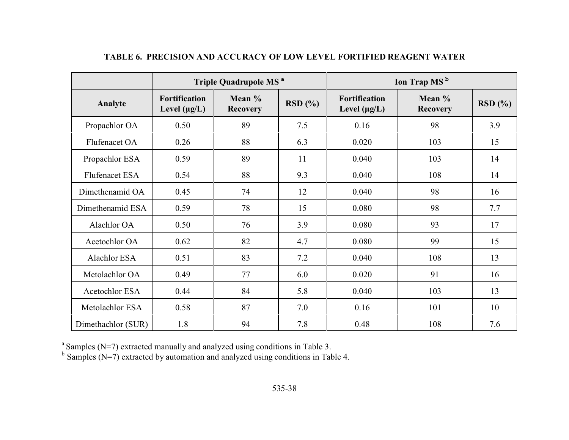|                       | Triple Quadrupole MS <sup>a</sup>         |                             |        |                                    | Ion Trap MS <sup>b</sup>    |        |
|-----------------------|-------------------------------------------|-----------------------------|--------|------------------------------------|-----------------------------|--------|
| Analyte               | <b>Fortification</b><br>Level $(\mu g/L)$ | Mean $%$<br><b>Recovery</b> | RSD(%) | Fortification<br>Level $(\mu g/L)$ | Mean $%$<br><b>Recovery</b> | RSD(%) |
| Propachlor OA         | 0.50                                      | 89                          | 7.5    | 0.16                               | 98                          | 3.9    |
| Flufenacet OA         | 0.26                                      | 88                          | 6.3    | 0.020                              | 103                         | 15     |
| Propachlor ESA        | 0.59                                      | 89                          | 11     | 0.040                              | 103                         | 14     |
| <b>Flufenacet ESA</b> | 0.54                                      | 88                          | 9.3    | 0.040                              | 108                         | 14     |
| Dimethenamid OA       | 0.45                                      | 74                          | 12     | 0.040                              | 98                          | 16     |
| Dimethenamid ESA      | 0.59                                      | 78                          | 15     | 0.080                              | 98                          | 7.7    |
| Alachlor OA           | 0.50                                      | 76                          | 3.9    | 0.080                              | 93                          | 17     |
| Acetochlor OA         | 0.62                                      | 82                          | 4.7    | 0.080                              | 99                          | 15     |
| Alachlor ESA          | 0.51                                      | 83                          | 7.2    | 0.040                              | 108                         | 13     |
| Metolachlor OA        | 0.49                                      | 77                          | 6.0    | 0.020                              | 91                          | 16     |
| Acetochlor ESA        | 0.44                                      | 84                          | 5.8    | 0.040                              | 103                         | 13     |
| Metolachlor ESA       | 0.58                                      | 87                          | 7.0    | 0.16                               | 101                         | 10     |
| Dimethachlor (SUR)    | 1.8                                       | 94                          | 7.8    | 0.48                               | 108                         | 7.6    |

# **TABLE 6. PRECISION AND ACCURACY OF LOW LEVEL FORTIFIED REAGENT WATER**

<sup>a</sup> Samples (N=7) extracted manually and analyzed using conditions in Table 3.<br><sup>b</sup> Samples (N=7) extracted by automation and analyzed using conditions in Table 4.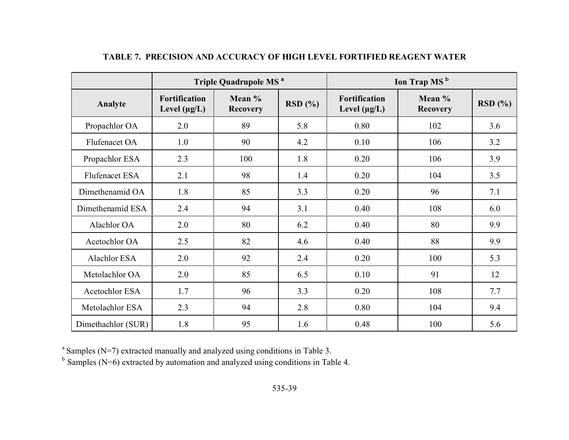|                       | Triple Quadrupole MS <sup>a</sup>  |                             |        | Ion Trap MS <sup>b</sup>           |                             |        |
|-----------------------|------------------------------------|-----------------------------|--------|------------------------------------|-----------------------------|--------|
| Analyte               | Fortification<br>Level $(\mu g/L)$ | Mean $%$<br><b>Recovery</b> | RSD(%) | Fortification<br>Level $(\mu g/L)$ | Mean $%$<br><b>Recovery</b> | RSD(%) |
| Propachlor OA         | 2.0                                | 89                          | 5.8    | 0.80                               | 102                         | 3.6    |
| Flufenacet OA         | 1.0                                | 90                          | 4.2    | 0.10                               | 106                         | 3.2    |
| Propachlor ESA        | 2.3                                | 100                         | 1.8    | 0.20                               | 106                         | 3.9    |
| <b>Flufenacet ESA</b> | 2.1                                | 98                          | 1.4    | 0.20                               | 104                         | 3.5    |
| Dimethenamid OA       | 1.8                                | 85                          | 3.3    | 0.20                               | 96                          | 7.1    |
| Dimethenamid ESA      | 2.4                                | 94                          | 3.1    | 0.40                               | 108                         | 6.0    |
| Alachlor OA           | 2.0                                | 80                          | 6.2    | 0.40                               | 80                          | 9.9    |
| Acetochlor OA         | 2.5                                | 82                          | 4.6    | 0.40                               | 88                          | 9.9    |
| Alachlor ESA          | 2.0                                | 92                          | 2.4    | 0.20                               | 100                         | 5.3    |
| Metolachlor OA        | 2.0                                | 85                          | 6.5    | 0.10                               | 91                          | 12     |
| Acetochlor ESA        | 1.7                                | 96                          | 3.3    | 0.20                               | 108                         | 7.7    |
| Metolachlor ESA       | 2.3                                | 94                          | 2.8    | 0.80                               | 104                         | 9.4    |
| Dimethachlor (SUR)    | 1.8                                | 95                          | 1.6    | 0.48                               | 100                         | 5.6    |

# **TABLE 7. PRECISION AND ACCURACY OF HIGH LEVEL FORTIFIED REAGENT WATER**

 $a<sup>a</sup>$  Samples (N=7) extracted manually and analyzed using conditions in Table 3.

 $b$  Samples (N=6) extracted by automation and analyzed using conditions in Table 4.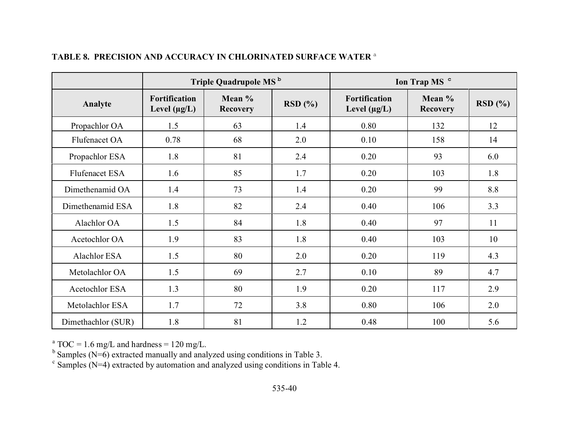|                       | Triple Quadrupole MS <sup>b</sup>         |                           |        |                                    | Ion Trap MS <sup>c</sup>  |        |
|-----------------------|-------------------------------------------|---------------------------|--------|------------------------------------|---------------------------|--------|
| Analyte               | <b>Fortification</b><br>Level $(\mu g/L)$ | Mean %<br><b>Recovery</b> | RSD(%) | Fortification<br>Level $(\mu g/L)$ | Mean %<br><b>Recovery</b> | RSD(%) |
| Propachlor OA         | 1.5                                       | 63                        | 1.4    | 0.80                               | 132                       | 12     |
| Flufenacet OA         | 0.78                                      | 68                        | 2.0    | 0.10                               | 158                       | 14     |
| Propachlor ESA        | 1.8                                       | 81                        | 2.4    | 0.20                               | 93                        | 6.0    |
| <b>Flufenacet ESA</b> | 1.6                                       | 85                        | 1.7    | 0.20                               | 103                       | 1.8    |
| Dimethenamid OA       | 1.4                                       | 73                        | 1.4    | 0.20                               | 99                        | 8.8    |
| Dimethenamid ESA      | 1.8                                       | 82                        | 2.4    | 0.40                               | 106                       | 3.3    |
| Alachlor OA           | 1.5                                       | 84                        | 1.8    | 0.40                               | 97                        | 11     |
| Acetochlor OA         | 1.9                                       | 83                        | 1.8    | 0.40                               | 103                       | 10     |
| Alachlor ESA          | 1.5                                       | 80                        | 2.0    | 0.20                               | 119                       | 4.3    |
| Metolachlor OA        | 1.5                                       | 69                        | 2.7    | 0.10                               | 89                        | 4.7    |
| Acetochlor ESA        | 1.3                                       | 80                        | 1.9    | 0.20                               | 117                       | 2.9    |
| Metolachlor ESA       | 1.7                                       | 72                        | 3.8    | 0.80                               | 106                       | 2.0    |
| Dimethachlor (SUR)    | 1.8                                       | 81                        | 1.2    | 0.48                               | 100                       | 5.6    |

# **TABLE 8. PRECISION AND ACCURACY IN CHLORINATED SURFACE WATER** <sup>a</sup>

 $^{\text{a}}$  TOC = 1.6 mg/L and hardness = 120 mg/L.

<sup>b</sup> Samples (N=6) extracted manually and analyzed using conditions in Table 3.<br><sup>c</sup> Samples (N=4) extracted by automation and analyzed using conditions in Table 4.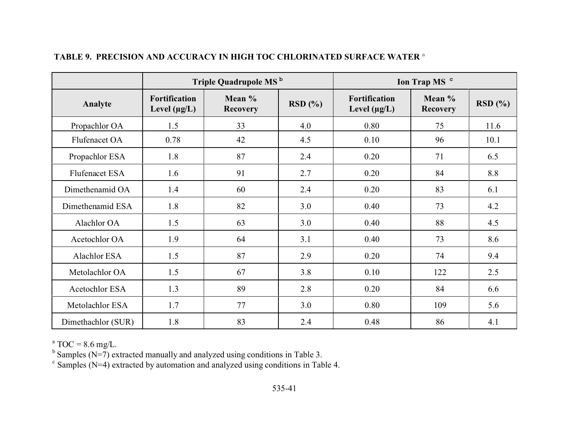|                    | Triple Quadrupole MS <sup>b</sup>         |                             |        |                                           | Ion Trap MS <sup>c</sup>  |        |
|--------------------|-------------------------------------------|-----------------------------|--------|-------------------------------------------|---------------------------|--------|
| Analyte            | <b>Fortification</b><br>Level $(\mu g/L)$ | Mean $%$<br><b>Recovery</b> | RSD(%) | <b>Fortification</b><br>Level $(\mu g/L)$ | Mean %<br><b>Recovery</b> | RSD(%) |
| Propachlor OA      | 1.5                                       | 33                          | 4.0    | 0.80                                      | 75                        | 11.6   |
| Flufenacet OA      | 0.78                                      | 42                          | 4.5    | 0.10                                      | 96                        | 10.1   |
| Propachlor ESA     | 1.8                                       | 87                          | 2.4    | 0.20                                      | 71                        | 6.5    |
| Flufenacet ESA     | 1.6                                       | 91                          | 2.7    | 0.20                                      | 84                        | 8.8    |
| Dimethenamid OA    | 1.4                                       | 60                          | 2.4    | 0.20                                      | 83                        | 6.1    |
| Dimethenamid ESA   | 1.8                                       | 82                          | 3.0    | 0.40                                      | 73                        | 4.2    |
| Alachlor OA        | 1.5                                       | 63                          | 3.0    | 0.40                                      | 88                        | 4.5    |
| Acetochlor OA      | 1.9                                       | 64                          | 3.1    | 0.40                                      | 73                        | 8.6    |
| Alachlor ESA       | 1.5                                       | 87                          | 2.9    | 0.20                                      | 74                        | 9.4    |
| Metolachlor OA     | 1.5                                       | 67                          | 3.8    | 0.10                                      | 122                       | 2.5    |
| Acetochlor ESA     | 1.3                                       | 89                          | 2.8    | 0.20                                      | 84                        | 6.6    |
| Metolachlor ESA    | 1.7                                       | 77                          | 3.0    | 0.80                                      | 109                       | 5.6    |
| Dimethachlor (SUR) | 1.8                                       | 83                          | 2.4    | 0.48                                      | 86                        | 4.1    |

# **TABLE 9. PRECISION AND ACCURACY IN HIGH TOC CHLORINATED SURFACE WATER** <sup>a</sup>

 $^{\circ}$  TOC = 8.6 mg/L.

<sup>b</sup> Samples (N=7) extracted manually and analyzed using conditions in Table 3.<br><sup>c</sup> Samples (N=4) extracted by automation and analyzed using conditions in Table 4.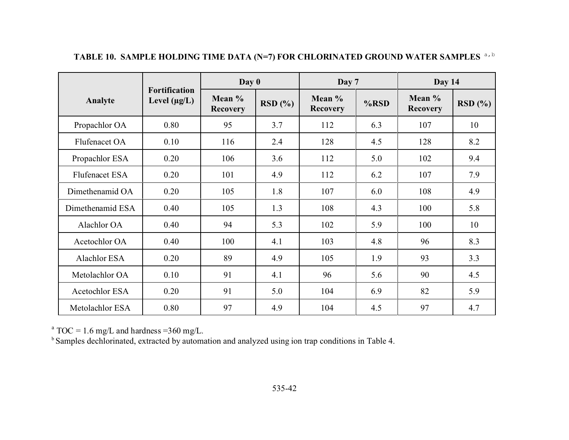|                  |                                           | Day 0                     |        | Day 7                     |         | Day 14                    |        |
|------------------|-------------------------------------------|---------------------------|--------|---------------------------|---------|---------------------------|--------|
| Analyte          | <b>Fortification</b><br>Level $(\mu g/L)$ | Mean %<br><b>Recovery</b> | RSD(%) | Mean %<br><b>Recovery</b> | $%$ RSD | Mean %<br><b>Recovery</b> | RSD(%) |
| Propachlor OA    | 0.80                                      | 95                        | 3.7    | 112                       | 6.3     | 107                       | 10     |
| Flufenacet OA    | 0.10                                      | 116                       | 2.4    | 128                       | 4.5     | 128                       | 8.2    |
| Propachlor ESA   | 0.20                                      | 106                       | 3.6    | 112                       | 5.0     | 102                       | 9.4    |
| Flufenacet ESA   | 0.20                                      | 101                       | 4.9    | 112                       | 6.2     | 107                       | 7.9    |
| Dimethenamid OA  | 0.20                                      | 105                       | 1.8    | 107                       | 6.0     | 108                       | 4.9    |
| Dimethenamid ESA | 0.40                                      | 105                       | 1.3    | 108                       | 4.3     | 100                       | 5.8    |
| Alachlor OA      | 0.40                                      | 94                        | 5.3    | 102                       | 5.9     | 100                       | 10     |
| Acetochlor OA    | 0.40                                      | 100                       | 4.1    | 103                       | 4.8     | 96                        | 8.3    |
| Alachlor ESA     | 0.20                                      | 89                        | 4.9    | 105                       | 1.9     | 93                        | 3.3    |
| Metolachlor OA   | 0.10                                      | 91                        | 4.1    | 96                        | 5.6     | 90                        | 4.5    |
| Acetochlor ESA   | 0.20                                      | 91                        | 5.0    | 104                       | 6.9     | 82                        | 5.9    |
| Metolachlor ESA  | 0.80                                      | 97                        | 4.9    | 104                       | 4.5     | 97                        | 4.7    |

TABLE 10. SAMPLE HOLDING TIME DATA (N=7) FOR CHLORINATED GROUND WATER SAMPLES <sup>a, b</sup>

 $^{\text{a}}$  TOC = 1.6 mg/L and hardness =360 mg/L.

<sup>b</sup> Samples dechlorinated, extracted by automation and analyzed using ion trap conditions in Table 4.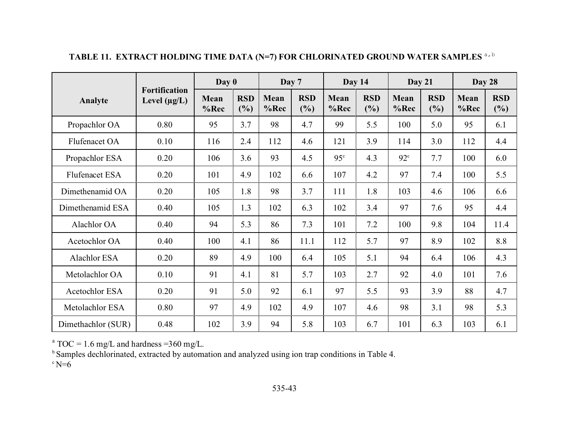|                       |                                           | Day 0        |                   | Day 7        |                   | Day 14          |                   | Day 21       |                   | Day 28       |                   |
|-----------------------|-------------------------------------------|--------------|-------------------|--------------|-------------------|-----------------|-------------------|--------------|-------------------|--------------|-------------------|
| Analyte               | <b>Fortification</b><br>Level $(\mu g/L)$ | Mean<br>%Rec | <b>RSD</b><br>(%) | Mean<br>%Rec | <b>RSD</b><br>(%) | Mean<br>%Rec    | <b>RSD</b><br>(%) | Mean<br>%Rec | <b>RSD</b><br>(%) | Mean<br>%Rec | <b>RSD</b><br>(%) |
| Propachlor OA         | 0.80                                      | 95           | 3.7               | 98           | 4.7               | 99              | 5.5               | 100          | 5.0               | 95           | 6.1               |
| Flufenacet OA         | 0.10                                      | 116          | 2.4               | 112          | 4.6               | 121             | 3.9               | 114          | 3.0               | 112          | 4.4               |
| Propachlor ESA        | 0.20                                      | 106          | 3.6               | 93           | 4.5               | 95 <sup>c</sup> | 4.3               | $92^{\circ}$ | 7.7               | 100          | 6.0               |
| <b>Flufenacet ESA</b> | 0.20                                      | 101          | 4.9               | 102          | 6.6               | 107             | 4.2               | 97           | 7.4               | 100          | 5.5               |
| Dimethenamid OA       | 0.20                                      | 105          | 1.8               | 98           | 3.7               | 111             | 1.8               | 103          | 4.6               | 106          | 6.6               |
| Dimethenamid ESA      | 0.40                                      | 105          | 1.3               | 102          | 6.3               | 102             | 3.4               | 97           | 7.6               | 95           | 4.4               |
| Alachlor OA           | 0.40                                      | 94           | 5.3               | 86           | 7.3               | 101             | 7.2               | 100          | 9.8               | 104          | 11.4              |
| Acetochlor OA         | 0.40                                      | 100          | 4.1               | 86           | 11.1              | 112             | 5.7               | 97           | 8.9               | 102          | 8.8               |
| Alachlor ESA          | 0.20                                      | 89           | 4.9               | 100          | 6.4               | 105             | 5.1               | 94           | 6.4               | 106          | 4.3               |
| Metolachlor OA        | 0.10                                      | 91           | 4.1               | 81           | 5.7               | 103             | 2.7               | 92           | 4.0               | 101          | 7.6               |
| Acetochlor ESA        | 0.20                                      | 91           | 5.0               | 92           | 6.1               | 97              | 5.5               | 93           | 3.9               | 88           | 4.7               |
| Metolachlor ESA       | 0.80                                      | 97           | 4.9               | 102          | 4.9               | 107             | 4.6               | 98           | 3.1               | 98           | 5.3               |
| Dimethachlor (SUR)    | 0.48                                      | 102          | 3.9               | 94           | 5.8               | 103             | 6.7               | 101          | 6.3               | 103          | 6.1               |

**TABLE 11. EXTRACT HOLDING TIME DATA (N=7) FOR CHLORINATED GROUND WATER SAMPLES** a,b

 $^{\text{a}}$  TOC = 1.6 mg/L and hardness =360 mg/L.

<sup>b</sup> Samples dechlorinated, extracted by automation and analyzed using ion trap conditions in Table 4.

 $\degree$  N=6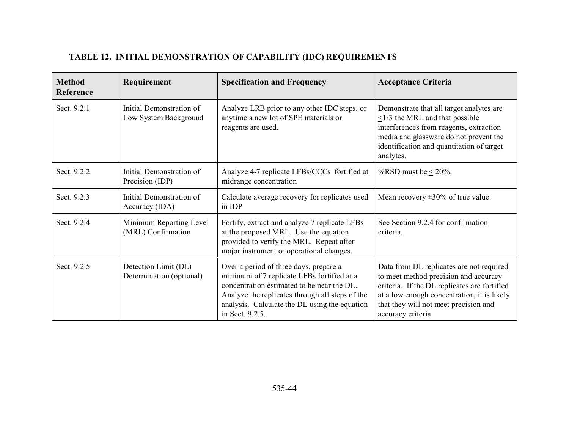# **TABLE 12. INITIAL DEMONSTRATION OF CAPABILITY (IDC) REQUIREMENTS**

| <b>Method</b><br>Reference | Requirement                                       | <b>Specification and Frequency</b>                                                                                                                                                                                                                        | <b>Acceptance Criteria</b>                                                                                                                                                                                                                      |  |  |
|----------------------------|---------------------------------------------------|-----------------------------------------------------------------------------------------------------------------------------------------------------------------------------------------------------------------------------------------------------------|-------------------------------------------------------------------------------------------------------------------------------------------------------------------------------------------------------------------------------------------------|--|--|
| Sect. 9.2.1                | Initial Demonstration of<br>Low System Background | Analyze LRB prior to any other IDC steps, or<br>anytime a new lot of SPE materials or<br>reagents are used.                                                                                                                                               | Demonstrate that all target analytes are<br>$\leq$ 1/3 the MRL and that possible<br>interferences from reagents, extraction<br>media and glassware do not prevent the<br>identification and quantitation of target<br>analytes.                 |  |  |
| Sect. 9.2.2                | Initial Demonstration of<br>Precision (IDP)       | Analyze 4-7 replicate LFBs/CCCs fortified at<br>midrange concentration                                                                                                                                                                                    | %RSD must be $< 20\%$ .                                                                                                                                                                                                                         |  |  |
| Sect. 9.2.3                | Initial Demonstration of<br>Accuracy (IDA)        | Calculate average recovery for replicates used<br>in IDP                                                                                                                                                                                                  | Mean recovery $\pm 30\%$ of true value.                                                                                                                                                                                                         |  |  |
| Sect. 9.2.4                | Minimum Reporting Level<br>(MRL) Confirmation     | Fortify, extract and analyze 7 replicate LFBs<br>at the proposed MRL. Use the equation<br>provided to verify the MRL. Repeat after<br>major instrument or operational changes.                                                                            | See Section 9.2.4 for confirmation<br>criteria.                                                                                                                                                                                                 |  |  |
| Sect. 9.2.5                | Detection Limit (DL)<br>Determination (optional)  | Over a period of three days, prepare a<br>minimum of 7 replicate LFBs fortified at a<br>concentration estimated to be near the DL.<br>Analyze the replicates through all steps of the<br>analysis. Calculate the DL using the equation<br>in Sect. 9.2.5. | Data from DL replicates are not required<br>to meet method precision and accuracy<br>criteria. If the DL replicates are fortified<br>at a low enough concentration, it is likely<br>that they will not meet precision and<br>accuracy criteria. |  |  |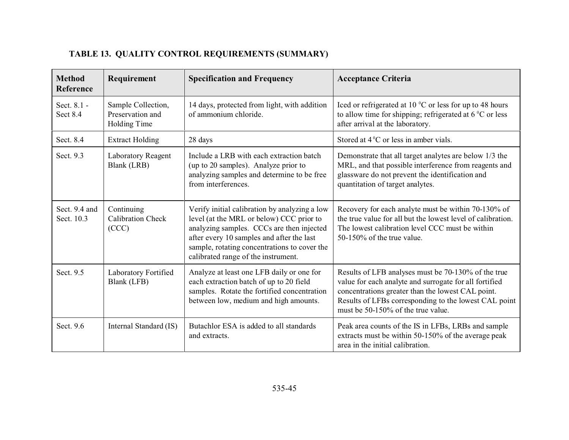# **TABLE 13. QUALITY CONTROL REQUIREMENTS (SUMMARY)**

| <b>Method</b><br>Reference  | Requirement                                            | <b>Specification and Frequency</b>                                                                                                                                                                                                                                         | <b>Acceptance Criteria</b>                                                                                                                                                                                                                                        |
|-----------------------------|--------------------------------------------------------|----------------------------------------------------------------------------------------------------------------------------------------------------------------------------------------------------------------------------------------------------------------------------|-------------------------------------------------------------------------------------------------------------------------------------------------------------------------------------------------------------------------------------------------------------------|
| Sect. 8.1 -<br>Sect 8.4     | Sample Collection,<br>Preservation and<br>Holding Time | 14 days, protected from light, with addition<br>of ammonium chloride.                                                                                                                                                                                                      | Iced or refrigerated at 10 $^{\circ}$ C or less for up to 48 hours<br>to allow time for shipping; refrigerated at $6^{\circ}$ C or less<br>after arrival at the laboratory.                                                                                       |
| Sect. 8.4                   | <b>Extract Holding</b>                                 | 28 days                                                                                                                                                                                                                                                                    | Stored at $4^{\circ}$ C or less in amber vials.                                                                                                                                                                                                                   |
| Sect. 9.3                   | Laboratory Reagent<br>Blank (LRB)                      | Include a LRB with each extraction batch<br>(up to 20 samples). Analyze prior to<br>analyzing samples and determine to be free<br>from interferences.                                                                                                                      | Demonstrate that all target analytes are below 1/3 the<br>MRL, and that possible interference from reagents and<br>glassware do not prevent the identification and<br>quantitation of target analytes.                                                            |
| Sect. 9.4 and<br>Sect. 10.3 | Continuing<br><b>Calibration Check</b><br>(CCC)        | Verify initial calibration by analyzing a low<br>level (at the MRL or below) CCC prior to<br>analyzing samples. CCCs are then injected<br>after every 10 samples and after the last<br>sample, rotating concentrations to cover the<br>calibrated range of the instrument. | Recovery for each analyte must be within 70-130% of<br>the true value for all but the lowest level of calibration.<br>The lowest calibration level CCC must be within<br>50-150% of the true value.                                                               |
| Sect. 9.5                   | Laboratory Fortified<br>Blank (LFB)                    | Analyze at least one LFB daily or one for<br>each extraction batch of up to 20 field<br>samples. Rotate the fortified concentration<br>between low, medium and high amounts.                                                                                               | Results of LFB analyses must be 70-130% of the true<br>value for each analyte and surrogate for all fortified<br>concentrations greater than the lowest CAL point.<br>Results of LFBs corresponding to the lowest CAL point<br>must be 50-150% of the true value. |
| Sect. 9.6                   | Internal Standard (IS)                                 | Butachlor ESA is added to all standards<br>and extracts.                                                                                                                                                                                                                   | Peak area counts of the IS in LFBs, LRBs and sample<br>extracts must be within 50-150% of the average peak<br>area in the initial calibration.                                                                                                                    |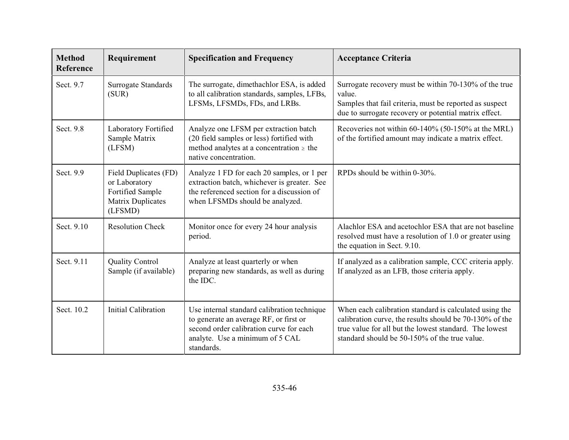| <b>Method</b><br><b>Reference</b> | Requirement                                                                                | <b>Specification and Frequency</b>                                                                                                                                                | <b>Acceptance Criteria</b>                                                                                                                                                                                                   |  |  |  |
|-----------------------------------|--------------------------------------------------------------------------------------------|-----------------------------------------------------------------------------------------------------------------------------------------------------------------------------------|------------------------------------------------------------------------------------------------------------------------------------------------------------------------------------------------------------------------------|--|--|--|
| Sect. 9.7                         | Surrogate Standards<br>(SUR)                                                               | The surrogate, dimethachlor ESA, is added<br>to all calibration standards, samples, LFBs,<br>LFSMs, LFSMDs, FDs, and LRBs.                                                        | Surrogate recovery must be within 70-130% of the true<br>value.<br>Samples that fail criteria, must be reported as suspect<br>due to surrogate recovery or potential matrix effect.                                          |  |  |  |
| Sect. 9.8                         | Laboratory Fortified<br>Sample Matrix<br>(LFSM)                                            | Analyze one LFSM per extraction batch<br>(20 field samples or less) fortified with<br>method analytes at a concentration $\geq$ the<br>native concentration.                      | Recoveries not within 60-140% (50-150% at the MRL)<br>of the fortified amount may indicate a matrix effect.                                                                                                                  |  |  |  |
| Sect. 9.9                         | Field Duplicates (FD)<br>or Laboratory<br>Fortified Sample<br>Matrix Duplicates<br>(LFSMD) | Analyze 1 FD for each 20 samples, or 1 per<br>extraction batch, whichever is greater. See<br>the referenced section for a discussion of<br>when LFSMDs should be analyzed.        | RPDs should be within $0-30\%$ .                                                                                                                                                                                             |  |  |  |
| Sect. 9.10                        | <b>Resolution Check</b>                                                                    | Monitor once for every 24 hour analysis<br>period.                                                                                                                                | Alachlor ESA and acetochlor ESA that are not baseline<br>resolved must have a resolution of 1.0 or greater using<br>the equation in Sect. 9.10.                                                                              |  |  |  |
| Sect. 9.11                        | <b>Quality Control</b><br>Sample (if available)                                            | Analyze at least quarterly or when<br>preparing new standards, as well as during<br>the IDC.                                                                                      | If analyzed as a calibration sample, CCC criteria apply.<br>If analyzed as an LFB, those criteria apply.                                                                                                                     |  |  |  |
| Sect. 10.2                        | <b>Initial Calibration</b>                                                                 | Use internal standard calibration technique<br>to generate an average RF, or first or<br>second order calibration curve for each<br>analyte. Use a minimum of 5 CAL<br>standards. | When each calibration standard is calculated using the<br>calibration curve, the results should be 70-130% of the<br>true value for all but the lowest standard. The lowest<br>standard should be 50-150% of the true value. |  |  |  |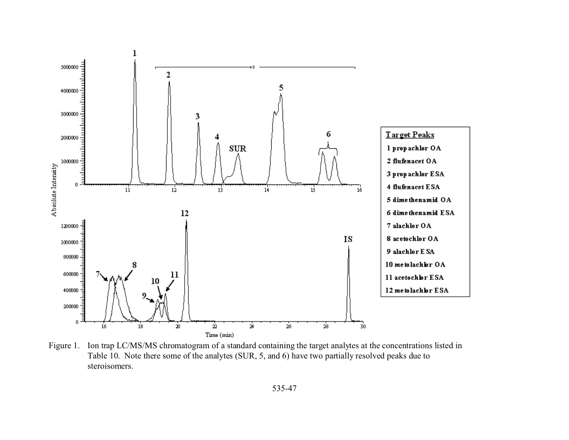

Figure 1. Ion trap LC/MS/MS chromatogram of a standard containing the target analytes at the concentrations listed in Table 10. Note there some of the analytes (SUR, 5, and 6) have two partially resolved peaks due to steroisomers.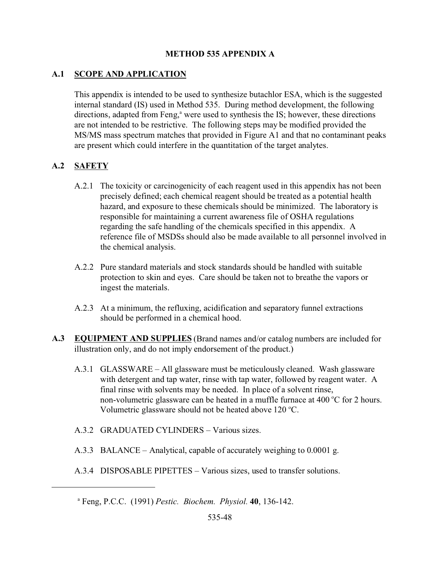### **METHOD 535 APPENDIX A**

# **A.1 SCOPE AND APPLICATION**

This appendix is intended to be used to synthesize butachlor ESA, which is the suggested internal standard (IS) used in Method 535. During method development, the following directions, adapted from Feng,<sup>a</sup> were used to synthesis the IS; however, these directions are not intended to be restrictive. The following steps may be modified provided the MS/MS mass spectrum matches that provided in Figure A1 and that no contaminant peaks are present which could interfere in the quantitation of the target analytes.

# **A.2 SAFETY**

- A.2.1 The toxicity or carcinogenicity of each reagent used in this appendix has not been precisely defined; each chemical reagent should be treated as a potential health hazard, and exposure to these chemicals should be minimized. The laboratory is responsible for maintaining a current awareness file of OSHA regulations regarding the safe handling of the chemicals specified in this appendix. A reference file of MSDSs should also be made available to all personnel involved in the chemical analysis.
- A.2.2 Pure standard materials and stock standards should be handled with suitable protection to skin and eyes. Care should be taken not to breathe the vapors or ingest the materials.
- A.2.3 At a minimum, the refluxing, acidification and separatory funnel extractions should be performed in a chemical hood.
- **A.3 EQUIPMENT AND SUPPLIES** (Brand names and/or catalog numbers are included for illustration only, and do not imply endorsement of the product.)
	- A.3.1 GLASSWARE All glassware must be meticulously cleaned. Wash glassware with detergent and tap water, rinse with tap water, followed by reagent water. A final rinse with solvents may be needed. In place of a solvent rinse, non-volumetric glassware can be heated in a muffle furnace at  $400\degree$ C for 2 hours. Volumetric glassware should not be heated above  $120^{\circ}$ C.
	- A.3.2 GRADUATED CYLINDERS Various sizes.
	- A.3.3 BALANCE Analytical, capable of accurately weighing to 0.0001 g.
	- A.3.4 DISPOSABLE PIPETTES Various sizes, used to transfer solutions.

a Feng, P.C.C. (1991) *Pestic. Biochem. Physiol.* **40**, 136-142.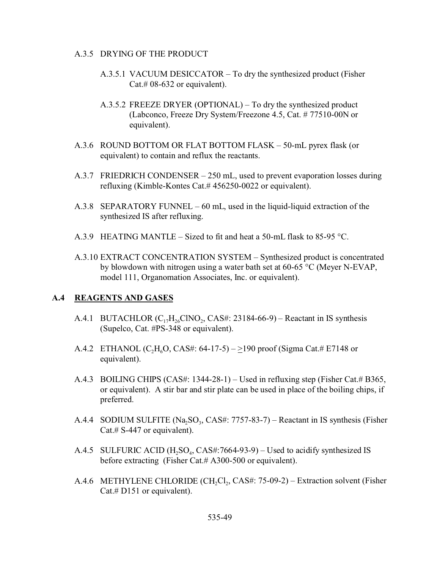#### A.3.5 DRYING OF THE PRODUCT

- A.3.5.1 VACUUM DESICCATOR To dry the synthesized product (Fisher Cat.# 08-632 or equivalent).
- A.3.5.2 FREEZE DRYER (OPTIONAL) To dry the synthesized product (Labconco, Freeze Dry System/Freezone 4.5, Cat. # 77510-00N or equivalent).
- A.3.6 ROUND BOTTOM OR FLAT BOTTOM FLASK 50-mL pyrex flask (or equivalent) to contain and reflux the reactants.
- A.3.7 FRIEDRICH CONDENSER 250 mL, used to prevent evaporation losses during refluxing (Kimble-Kontes Cat.# 456250-0022 or equivalent).
- A.3.8 SEPARATORY FUNNEL 60 mL, used in the liquid-liquid extraction of the synthesized IS after refluxing.
- A.3.9 HEATING MANTLE Sized to fit and heat a 50-mL flask to 85-95 °C.
- A.3.10 EXTRACT CONCENTRATION SYSTEM Synthesized product is concentrated by blowdown with nitrogen using a water bath set at 60-65 °C (Meyer N-EVAP, model 111, Organomation Associates, Inc. or equivalent).

#### **A.4 REAGENTS AND GASES**

- A.4.1 BUTACHLOR  $(C_{17}H_{26}CINO_2, CAS\#: 23184-66-9)$  Reactant in IS synthesis (Supelco, Cat. #PS-348 or equivalent).
- A.4.2 ETHANOL (C<sub>2</sub>H<sub>6</sub>O, CAS#: 64-17-5) >190 proof (Sigma Cat.# E7148 or equivalent).
- A.4.3 BOILING CHIPS (CAS#: 1344-28-1) Used in refluxing step (Fisher Cat.# B365, or equivalent). A stir bar and stir plate can be used in place of the boiling chips, if preferred.
- A.4.4 SODIUM SULFITE  $(Na_2SO_3, CAS\#: 7757-83-7) -$  Reactant in IS synthesis (Fisher Cat.# S-447 or equivalent).
- A.4.5 SULFURIC ACID  $(H_2SO_4, CAS\#: 7664-93-9) Used$  to acidify synthesized IS before extracting (Fisher Cat.# A300-500 or equivalent).
- A.4.6 METHYLENE CHLORIDE  $(CH_2Cl_2, CAS#: 75-09-2)$  Extraction solvent (Fisher Cat.# D151 or equivalent).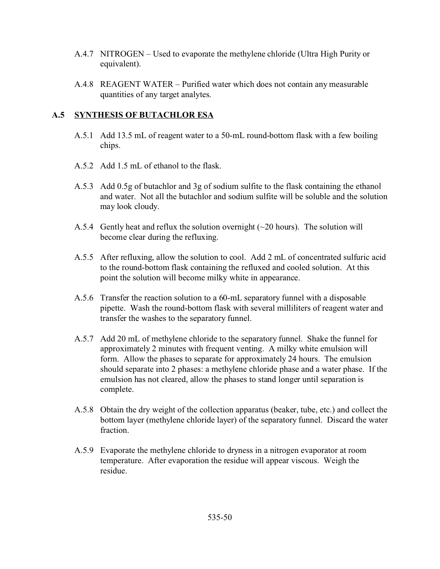- A.4.7 NITROGEN Used to evaporate the methylene chloride (Ultra High Purity or equivalent).
- A.4.8 REAGENT WATER Purified water which does not contain any measurable quantities of any target analytes.

### **A.5 SYNTHESIS OF BUTACHLOR ESA**

- A.5.1 Add 13.5 mL of reagent water to a 50-mL round-bottom flask with a few boiling chips.
- A.5.2 Add 1.5 mL of ethanol to the flask.
- A.5.3 Add 0.5g of butachlor and 3g of sodium sulfite to the flask containing the ethanol and water. Not all the butachlor and sodium sulfite will be soluble and the solution may look cloudy.
- A.5.4 Gently heat and reflux the solution overnight (~20 hours). The solution will become clear during the refluxing.
- A.5.5 After refluxing, allow the solution to cool. Add 2 mL of concentrated sulfuric acid to the round-bottom flask containing the refluxed and cooled solution. At this point the solution will become milky white in appearance.
- A.5.6 Transfer the reaction solution to a 60-mL separatory funnel with a disposable pipette. Wash the round-bottom flask with several milliliters of reagent water and transfer the washes to the separatory funnel.
- A.5.7 Add 20 mL of methylene chloride to the separatory funnel. Shake the funnel for approximately 2 minutes with frequent venting. A milky white emulsion will form. Allow the phases to separate for approximately 24 hours. The emulsion should separate into 2 phases: a methylene chloride phase and a water phase. If the emulsion has not cleared, allow the phases to stand longer until separation is complete.
- A.5.8 Obtain the dry weight of the collection apparatus (beaker, tube, etc.) and collect the bottom layer (methylene chloride layer) of the separatory funnel. Discard the water fraction.
- A.5.9 Evaporate the methylene chloride to dryness in a nitrogen evaporator at room temperature. After evaporation the residue will appear viscous. Weigh the residue.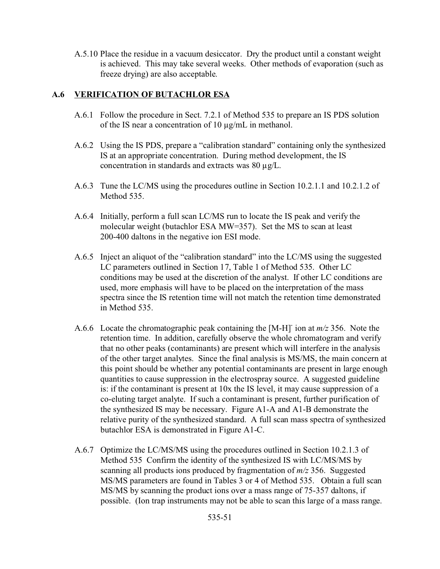A.5.10 Place the residue in a vacuum desiccator. Dry the product until a constant weight is achieved. This may take several weeks. Other methods of evaporation (such as freeze drying) are also acceptable.

# **A.6 VERIFICATION OF BUTACHLOR ESA**

- A.6.1 Follow the procedure in Sect. 7.2.1 of Method 535 to prepare an IS PDS solution of the IS near a concentration of 10 µg/mL in methanol.
- A.6.2 Using the IS PDS, prepare a "calibration standard" containing only the synthesized IS at an appropriate concentration. During method development, the IS concentration in standards and extracts was 80 µg/L.
- A.6.3 Tune the LC/MS using the procedures outline in Section 10.2.1.1 and 10.2.1.2 of Method 535.
- A.6.4 Initially, perform a full scan LC/MS run to locate the IS peak and verify the molecular weight (butachlor ESA MW=357). Set the MS to scan at least 200-400 daltons in the negative ion ESI mode.
- A.6.5 Inject an aliquot of the "calibration standard" into the LC/MS using the suggested LC parameters outlined in Section 17, Table 1 of Method 535. Other LC conditions may be used at the discretion of the analyst. If other LC conditions are used, more emphasis will have to be placed on the interpretation of the mass spectra since the IS retention time will not match the retention time demonstrated in Method 535.
- A.6.6 Locate the chromatographic peak containing the [M-H]- ion at *m/z* 356. Note the retention time. In addition, carefully observe the whole chromatogram and verify that no other peaks (contaminants) are present which will interfere in the analysis of the other target analytes. Since the final analysis is MS/MS, the main concern at this point should be whether any potential contaminants are present in large enough quantities to cause suppression in the electrospray source. A suggested guideline is: if the contaminant is present at 10x the IS level, it may cause suppression of a co-eluting target analyte. If such a contaminant is present, further purification of the synthesized IS may be necessary. Figure A1-A and A1-B demonstrate the relative purity of the synthesized standard. A full scan mass spectra of synthesized butachlor ESA is demonstrated in Figure A1-C.
- A.6.7 Optimize the LC/MS/MS using the procedures outlined in Section 10.2.1.3 of Method 535 Confirm the identity of the synthesized IS with LC/MS/MS by scanning all products ions produced by fragmentation of *m/z* 356. Suggested MS/MS parameters are found in Tables 3 or 4 of Method 535. Obtain a full scan MS/MS by scanning the product ions over a mass range of 75-357 daltons, if possible. (Ion trap instruments may not be able to scan this large of a mass range.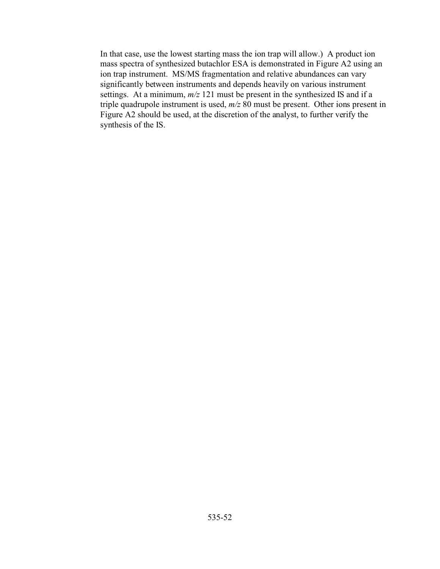In that case, use the lowest starting mass the ion trap will allow.) A product ion mass spectra of synthesized butachlor ESA is demonstrated in Figure A2 using an ion trap instrument. MS/MS fragmentation and relative abundances can vary significantly between instruments and depends heavily on various instrument settings. At a minimum, *m/z* 121 must be present in the synthesized IS and if a triple quadrupole instrument is used, *m/z* 80 must be present. Other ions present in Figure A2 should be used, at the discretion of the analyst, to further verify the synthesis of the IS.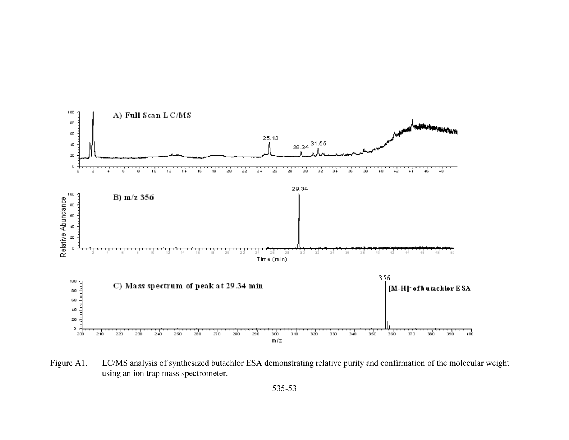

Figure A1. LC/MS analysis of synthesized butachlor ESA demonstrating relative purity and confirmation of the molecular weight using an ion trap mass spectrometer.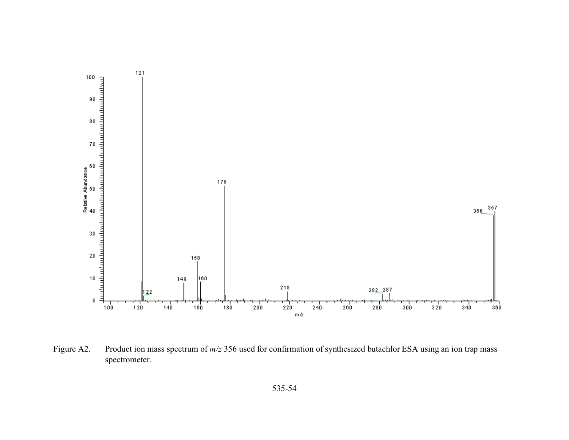

Figure A2. Product ion mass spectrum of  $m/z$  356 used for confirmation of synthesized butachlor ESA using an ion trap mass spectrometer.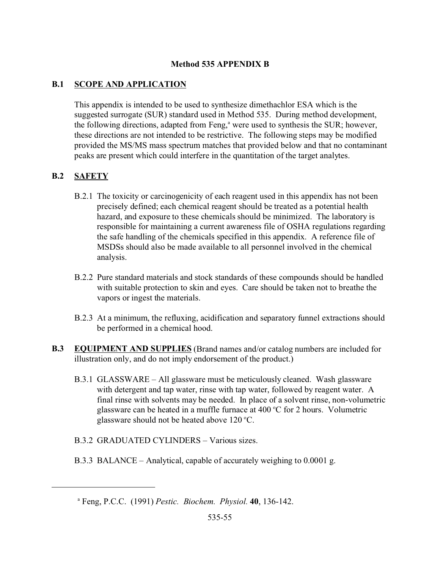#### **Method 535 APPENDIX B**

### **B.1 SCOPE AND APPLICATION**

This appendix is intended to be used to synthesize dimethachlor ESA which is the suggested surrogate (SUR) standard used in Method 535. During method development, the following directions, adapted from Feng,<sup>a</sup> were used to synthesis the SUR; however, these directions are not intended to be restrictive. The following steps may be modified provided the MS/MS mass spectrum matches that provided below and that no contaminant peaks are present which could interfere in the quantitation of the target analytes.

## **B.2 SAFETY**

- B.2.1 The toxicity or carcinogenicity of each reagent used in this appendix has not been precisely defined; each chemical reagent should be treated as a potential health hazard, and exposure to these chemicals should be minimized. The laboratory is responsible for maintaining a current awareness file of OSHA regulations regarding the safe handling of the chemicals specified in this appendix. A reference file of MSDSs should also be made available to all personnel involved in the chemical analysis.
- B.2.2 Pure standard materials and stock standards of these compounds should be handled with suitable protection to skin and eyes. Care should be taken not to breathe the vapors or ingest the materials.
- B.2.3 At a minimum, the refluxing, acidification and separatory funnel extractions should be performed in a chemical hood.
- **B.3 EQUIPMENT AND SUPPLIES** (Brand names and/or catalog numbers are included for illustration only, and do not imply endorsement of the product.)
	- B.3.1 GLASSWARE All glassware must be meticulously cleaned. Wash glassware with detergent and tap water, rinse with tap water, followed by reagent water. A final rinse with solvents may be needed. In place of a solvent rinse, non-volumetric glassware can be heated in a muffle furnace at  $400^{\circ}$ C for 2 hours. Volumetric glassware should not be heated above  $120^{\circ}$ C.
	- B.3.2 GRADUATED CYLINDERS Various sizes.
	- B.3.3 BALANCE Analytical, capable of accurately weighing to 0.0001 g.

a Feng, P.C.C. (1991) *Pestic. Biochem. Physiol.* **40**, 136-142.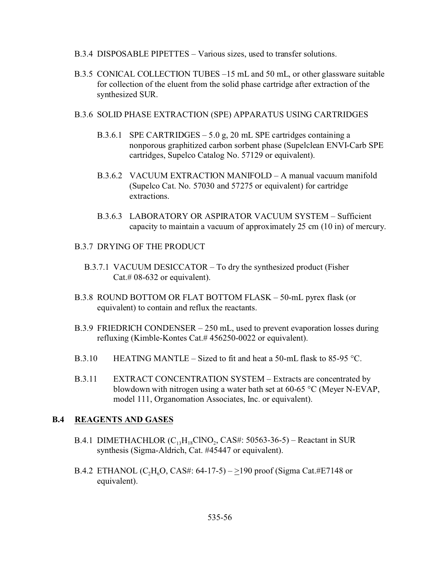- B.3.4 DISPOSABLE PIPETTES Various sizes, used to transfer solutions.
- B.3.5 CONICAL COLLECTION TUBES –15 mL and 50 mL, or other glassware suitable for collection of the eluent from the solid phase cartridge after extraction of the synthesized SUR.
- B.3.6 SOLID PHASE EXTRACTION (SPE) APPARATUS USING CARTRIDGES
	- B.3.6.1 SPE CARTRIDGES 5.0 g, 20 mL SPE cartridges containing a nonporous graphitized carbon sorbent phase (Supelclean ENVI-Carb SPE cartridges, Supelco Catalog No. 57129 or equivalent).
	- B.3.6.2 VACUUM EXTRACTION MANIFOLD A manual vacuum manifold (Supelco Cat. No. 57030 and 57275 or equivalent) for cartridge extractions.
	- B.3.6.3 LABORATORY OR ASPIRATOR VACUUM SYSTEM Sufficient capacity to maintain a vacuum of approximately 25 cm (10 in) of mercury.
- B.3.7 DRYING OF THE PRODUCT
	- B.3.7.1 VACUUM DESICCATOR To dry the synthesized product (Fisher Cat.# 08-632 or equivalent).
- B.3.8 ROUND BOTTOM OR FLAT BOTTOM FLASK 50-mL pyrex flask (or equivalent) to contain and reflux the reactants.
- B.3.9 FRIEDRICH CONDENSER 250 mL, used to prevent evaporation losses during refluxing (Kimble-Kontes Cat.# 456250-0022 or equivalent).
- B.3.10 HEATING MANTLE Sized to fit and heat a 50-mL flask to 85-95 °C.
- B.3.11 EXTRACT CONCENTRATION SYSTEM Extracts are concentrated by blowdown with nitrogen using a water bath set at 60-65 °C (Meyer N-EVAP, model 111, Organomation Associates, Inc. or equivalent).

#### **B.4 REAGENTS AND GASES**

- B.4.1 DIMETHACHLOR  $(C_{13}H_{18}CINO_2, CAS\#: 50563-36-5)$  Reactant in SUR synthesis (Sigma-Aldrich, Cat. #45447 or equivalent).
- B.4.2 ETHANOL (C<sub>2</sub>H<sub>6</sub>O, CAS#: 64-17-5) >190 proof (Sigma Cat.#E7148 or equivalent).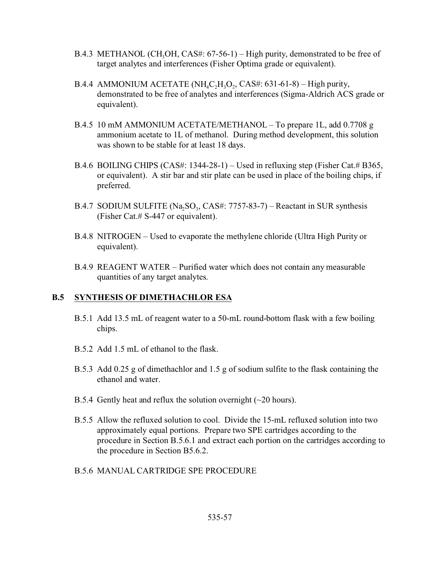- B.4.3 METHANOL (CH<sub>3</sub>OH, CAS#:  $67-56-1$ ) High purity, demonstrated to be free of target analytes and interferences (Fisher Optima grade or equivalent).
- B.4.4 AMMONIUM ACETATE (NH<sub>4</sub>C<sub>2</sub>H<sub>3</sub>O<sub>2</sub>, CAS#: 631-61-8) High purity, demonstrated to be free of analytes and interferences (Sigma-Aldrich ACS grade or equivalent).
- B.4.5 10 mM AMMONIUM ACETATE/METHANOL To prepare 1L, add 0.7708 g ammonium acetate to 1L of methanol. During method development, this solution was shown to be stable for at least 18 days.
- B.4.6 BOILING CHIPS (CAS#: 1344-28-1) Used in refluxing step (Fisher Cat.# B365, or equivalent). A stir bar and stir plate can be used in place of the boiling chips, if preferred.
- B.4.7 SODIUM SULFITE  $(Na_2SO_3, CAS\#: 7757-83-7) -$ Reactant in SUR synthesis (Fisher Cat.# S-447 or equivalent).
- B.4.8 NITROGEN Used to evaporate the methylene chloride (Ultra High Purity or equivalent).
- B.4.9 REAGENT WATER Purified water which does not contain any measurable quantities of any target analytes.

#### **B.5 SYNTHESIS OF DIMETHACHLOR ESA**

- B.5.1 Add 13.5 mL of reagent water to a 50-mL round-bottom flask with a few boiling chips.
- B.5.2 Add 1.5 mL of ethanol to the flask.
- B.5.3 Add 0.25 g of dimethachlor and 1.5 g of sodium sulfite to the flask containing the ethanol and water.
- B.5.4 Gently heat and reflux the solution overnight  $(\sim 20 \text{ hours})$ .
- B.5.5 Allow the refluxed solution to cool. Divide the 15-mL refluxed solution into two approximately equal portions. Prepare two SPE cartridges according to the procedure in Section B.5.6.1 and extract each portion on the cartridges according to the procedure in Section B5.6.2.
- B.5.6 MANUAL CARTRIDGE SPE PROCEDURE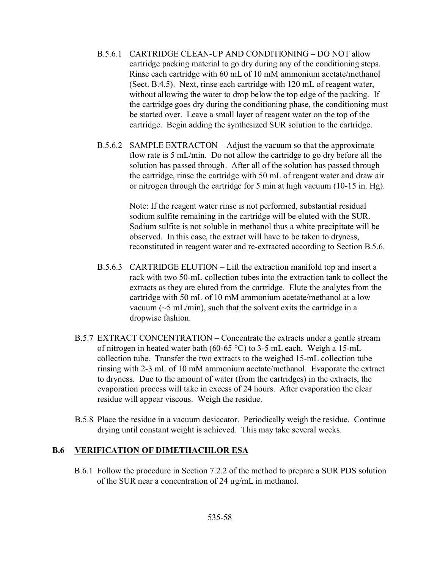- B.5.6.1 CARTRIDGE CLEAN-UP AND CONDITIONING DO NOT allow cartridge packing material to go dry during any of the conditioning steps. Rinse each cartridge with 60 mL of 10 mM ammonium acetate/methanol (Sect. B.4.5). Next, rinse each cartridge with 120 mL of reagent water, without allowing the water to drop below the top edge of the packing. If the cartridge goes dry during the conditioning phase, the conditioning must be started over. Leave a small layer of reagent water on the top of the cartridge. Begin adding the synthesized SUR solution to the cartridge.
- B.5.6.2 SAMPLE EXTRACTON Adjust the vacuum so that the approximate flow rate is 5 mL/min. Do not allow the cartridge to go dry before all the solution has passed through. After all of the solution has passed through the cartridge, rinse the cartridge with 50 mL of reagent water and draw air or nitrogen through the cartridge for 5 min at high vacuum (10-15 in. Hg).

Note: If the reagent water rinse is not performed, substantial residual sodium sulfite remaining in the cartridge will be eluted with the SUR. Sodium sulfite is not soluble in methanol thus a white precipitate will be observed. In this case, the extract will have to be taken to dryness, reconstituted in reagent water and re-extracted according to Section B.5.6.

- B.5.6.3 CARTRIDGE ELUTION Lift the extraction manifold top and insert a rack with two 50-mL collection tubes into the extraction tank to collect the extracts as they are eluted from the cartridge. Elute the analytes from the cartridge with 50 mL of 10 mM ammonium acetate/methanol at a low vacuum ( $\sim$ 5 mL/min), such that the solvent exits the cartridge in a dropwise fashion.
- B.5.7 EXTRACT CONCENTRATION Concentrate the extracts under a gentle stream of nitrogen in heated water bath (60-65 °C) to 3-5 mL each. Weigh a 15-mL collection tube. Transfer the two extracts to the weighed 15-mL collection tube rinsing with 2-3 mL of 10 mM ammonium acetate/methanol. Evaporate the extract to dryness. Due to the amount of water (from the cartridges) in the extracts, the evaporation process will take in excess of 24 hours. After evaporation the clear residue will appear viscous. Weigh the residue.
- B.5.8 Place the residue in a vacuum desiccator. Periodically weigh the residue. Continue drying until constant weight is achieved. This may take several weeks.

#### **B.6 VERIFICATION OF DIMETHACHLOR ESA**

B.6.1 Follow the procedure in Section 7.2.2 of the method to prepare a SUR PDS solution of the SUR near a concentration of 24 µg/mL in methanol.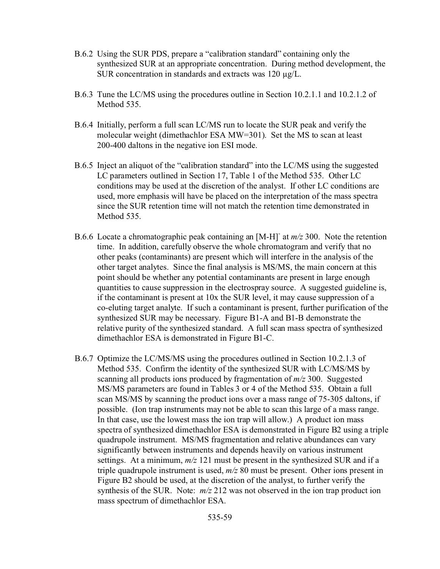- B.6.2 Using the SUR PDS, prepare a "calibration standard" containing only the synthesized SUR at an appropriate concentration. During method development, the SUR concentration in standards and extracts was 120 µg/L.
- B.6.3 Tune the LC/MS using the procedures outline in Section 10.2.1.1 and 10.2.1.2 of Method 535.
- B.6.4 Initially, perform a full scan LC/MS run to locate the SUR peak and verify the molecular weight (dimethachlor ESA MW=301). Set the MS to scan at least 200-400 daltons in the negative ion ESI mode.
- B.6.5 Inject an aliquot of the "calibration standard" into the LC/MS using the suggested LC parameters outlined in Section 17, Table 1 of the Method 535. Other LC conditions may be used at the discretion of the analyst. If other LC conditions are used, more emphasis will have be placed on the interpretation of the mass spectra since the SUR retention time will not match the retention time demonstrated in Method 535.
- B.6.6 Locate a chromatographic peak containing an [M-H]- at *m/z* 300. Note the retention time. In addition, carefully observe the whole chromatogram and verify that no other peaks (contaminants) are present which will interfere in the analysis of the other target analytes. Since the final analysis is MS/MS, the main concern at this point should be whether any potential contaminants are present in large enough quantities to cause suppression in the electrospray source. A suggested guideline is, if the contaminant is present at 10x the SUR level, it may cause suppression of a co-eluting target analyte. If such a contaminant is present, further purification of the synthesized SUR may be necessary. Figure B1-A and B1-B demonstrate the relative purity of the synthesized standard. A full scan mass spectra of synthesized dimethachlor ESA is demonstrated in Figure B1-C.
- B.6.7 Optimize the LC/MS/MS using the procedures outlined in Section 10.2.1.3 of Method 535. Confirm the identity of the synthesized SUR with LC/MS/MS by scanning all products ions produced by fragmentation of *m/z* 300. Suggested MS/MS parameters are found in Tables 3 or 4 of the Method 535. Obtain a full scan MS/MS by scanning the product ions over a mass range of 75-305 daltons, if possible. (Ion trap instruments may not be able to scan this large of a mass range. In that case, use the lowest mass the ion trap will allow.) A product ion mass spectra of synthesized dimethachlor ESA is demonstrated in Figure B2 using a triple quadrupole instrument. MS/MS fragmentation and relative abundances can vary significantly between instruments and depends heavily on various instrument settings. At a minimum, *m/z* 121 must be present in the synthesized SUR and if a triple quadrupole instrument is used, *m/z* 80 must be present. Other ions present in Figure B2 should be used, at the discretion of the analyst, to further verify the synthesis of the SUR. Note: *m/z* 212 was not observed in the ion trap product ion mass spectrum of dimethachlor ESA.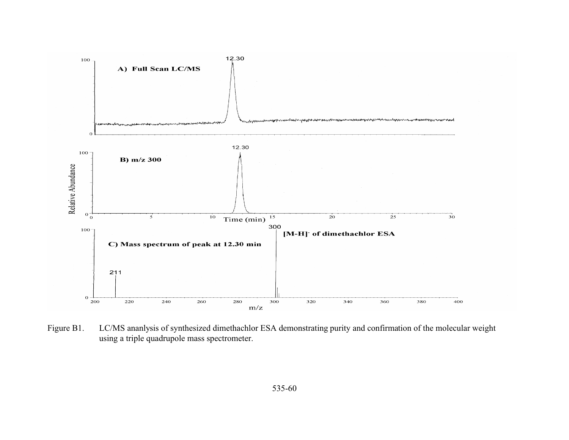

Figure B1. LC/MS ananlysis of synthesized dimethachlor ESA demonstrating purity and confirmation of the molecular weight using a triple quadrupole mass spectrometer.